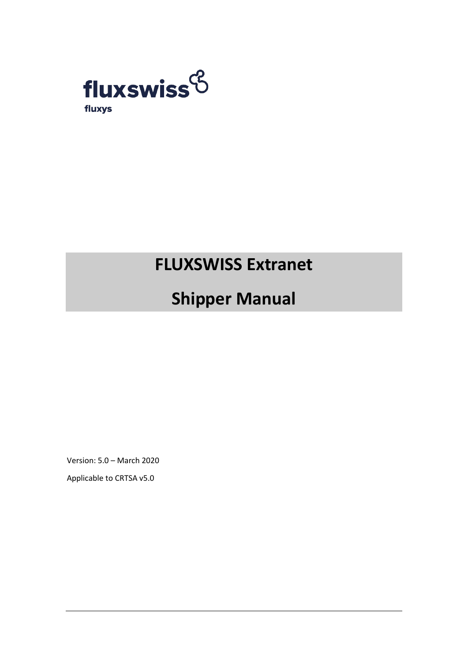

# **FLUXSWISS Extranet**

# **Shipper Manual**

Version: 5.0 – March 2020

Applicable to CRTSA v5.0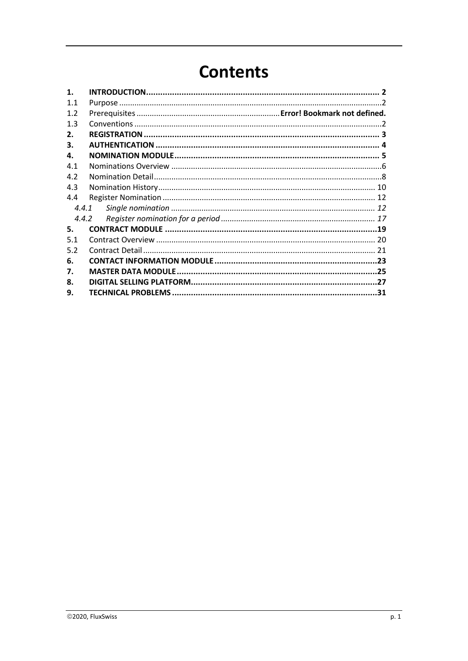# **Contents**

| $\mathbf{1}$ . |  |
|----------------|--|
| 1.1            |  |
| 1.2            |  |
| 1.3            |  |
| 2.             |  |
| З.             |  |
| 4.             |  |
| 4.1            |  |
| 4.2            |  |
| 4.3            |  |
| 4.4            |  |
| 4.4.1          |  |
| 4.4.2          |  |
| 5.             |  |
| 5.1            |  |
| 5.2            |  |
| 6.             |  |
| 7.             |  |
| 8.             |  |
| 9.             |  |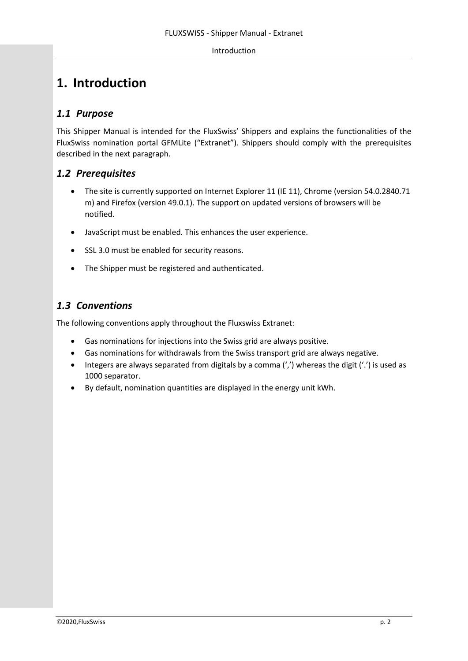#### Introduction

# <span id="page-2-0"></span>**1. Introduction**

# <span id="page-2-1"></span>*1.1 Purpose*

This Shipper Manual is intended for the FluxSwiss' Shippers and explains the functionalities of the FluxSwiss nomination portal GFMLite ("Extranet"). Shippers should comply with the prerequisites described in the next paragraph.

### *1.2 Prerequisites*

- The site is currently supported on Internet Explorer 11 (IE 11), Chrome (version 54.0.2840.71 m) and Firefox (version 49.0.1). The support on updated versions of browsers will be notified.
- JavaScript must be enabled. This enhances the user experience.
- SSL 3.0 must be enabled for security reasons.
- The Shipper must be registered and authenticated.

# <span id="page-2-2"></span>*1.3 Conventions*

The following conventions apply throughout the Fluxswiss Extranet:

- Gas nominations for injections into the Swiss grid are always positive.
- Gas nominations for withdrawals from the Swiss transport grid are always negative.
- Integers are always separated from digitals by a comma (',') whereas the digit ('.') is used as 1000 separator.
- By default, nomination quantities are displayed in the energy unit kWh.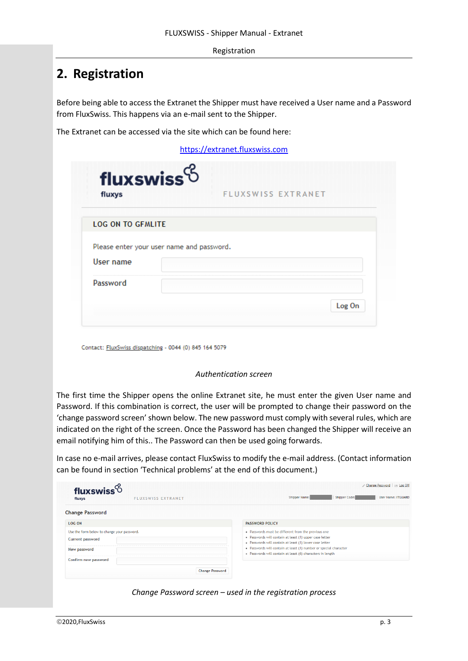Registration

# <span id="page-3-0"></span>**2. Registration**

Before being able to access the Extranet the Shipper must have received a User name and a Password from FluxSwiss. This happens via an e-mail sent to the Shipper.

The Extranet can be accessed via the site which can be found here:

[https://extranet.fluxswiss.com](https://extranet.fluxswiss.com/)

| fluxswiss <sup>6</sup><br>fluxys          | FLUXSWISS EXTRANET |
|-------------------------------------------|--------------------|
| <b>LOG ON TO GFMLITE</b>                  |                    |
| Please enter your user name and password. |                    |
| User name                                 |                    |
| Password                                  |                    |
|                                           |                    |

Contact: FluxSwiss dispatching - 0044 (0) 845 164 5079

#### *Authentication screen*

The first time the Shipper opens the online Extranet site, he must enter the given User name and Password. If this combination is correct, the user will be prompted to change their password on the 'change password screen' shown below. The new password must comply with several rules, which are indicated on the right of the screen. Once the Password has been changed the Shipper will receive an email notifying him of this.. The Password can then be used going forwards.

In case no e-mail arrives, please contact FluxSwiss to modify the e-mail address. (Contact information can be found in section 'Technical problems' at the end of this document.)

| Shipper Name:<br><b>User Name: ITGUARD</b><br><b>Shipper Code:</b>                                                                                                        |
|---------------------------------------------------------------------------------------------------------------------------------------------------------------------------|
|                                                                                                                                                                           |
| <b>PASSWORD POLICY</b>                                                                                                                                                    |
| . Passwords must be different from the previous one<br>- Passwords will contain at least (1) upper case letter<br>- Passwords will contain at least (1) lower case letter |
| . Passwords will contain at least (1) number or special character<br>- Passwords will contain at least (6) characters in length                                           |
|                                                                                                                                                                           |
|                                                                                                                                                                           |

*Change Password screen – used in the registration process*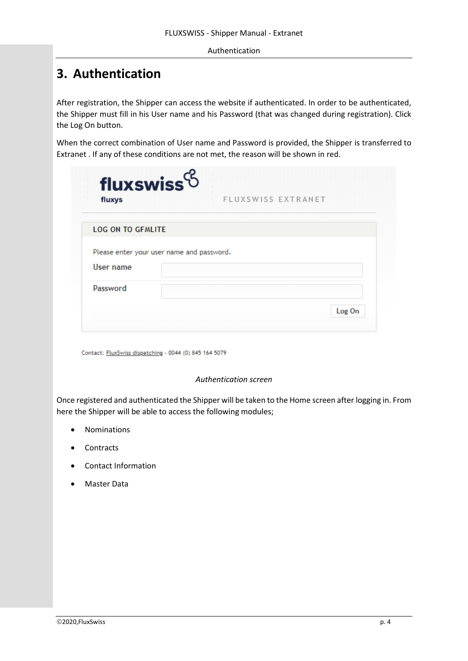#### Authentication

# <span id="page-4-0"></span>**3. Authentication**

After registration, the Shipper can access the website if authenticated. In order to be authenticated, the Shipper must fill in his User name and his Password (that was changed during registration). Click the Log On button.

When the correct combination of User name and Password is provided, the Shipper is transferred to Extranet . If any of these conditions are not met, the reason will be shown in red.

| fluxys                   | FLUXSWISS EXTRANET                        |
|--------------------------|-------------------------------------------|
| <b>LOG ON TO GFMLITE</b> |                                           |
|                          | Please enter your user name and password. |
| User name                |                                           |
| Password                 |                                           |
|                          | Log On                                    |

Contact: FluxSwiss dispatching - 0044 (0) 845 164 5079

#### *Authentication screen*

Once registered and authenticated the Shipper will be taken to the Home screen after logging in. From here the Shipper will be able to access the following modules;

- Nominations
- Contracts
- Contact Information
- Master Data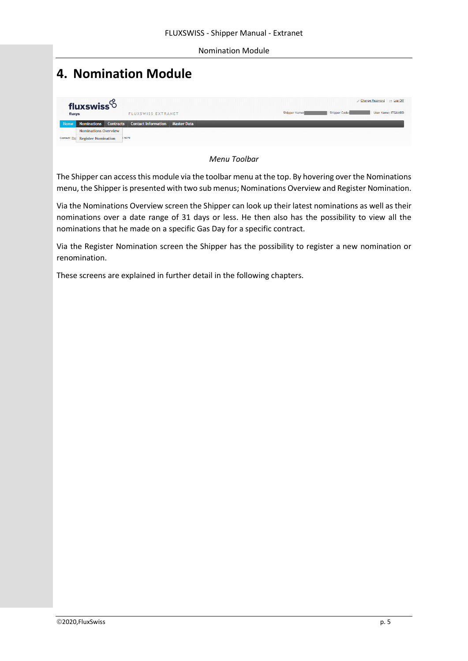# <span id="page-5-0"></span>**4. Nomination Module**

| fluxys | fluxswiss $6$                     | <b>FLUXSWISS EXTRANET</b>                             |  | Shipper Name: | <b>Shipper Code:</b> | Change Password   24 Log Off<br>User Name: ITGUARD |
|--------|-----------------------------------|-------------------------------------------------------|--|---------------|----------------------|----------------------------------------------------|
| Home   |                                   | Nominations Contracts Contact Information Master Data |  |               |                      |                                                    |
|        | <b>Nominations Overview</b>       |                                                       |  |               |                      |                                                    |
|        | Contact: Flui Register Nomination | 15079                                                 |  |               |                      |                                                    |
|        |                                   |                                                       |  |               |                      |                                                    |

*Menu Toolbar*

The Shipper can access this module via the toolbar menu at the top. By hovering over the Nominations menu, the Shipper is presented with two sub menus; Nominations Overview and Register Nomination.

Via the Nominations Overview screen the Shipper can look up their latest nominations as well as their nominations over a date range of 31 days or less. He then also has the possibility to view all the nominations that he made on a specific Gas Day for a specific contract.

Via the Register Nomination screen the Shipper has the possibility to register a new nomination or renomination.

These screens are explained in further detail in the following chapters.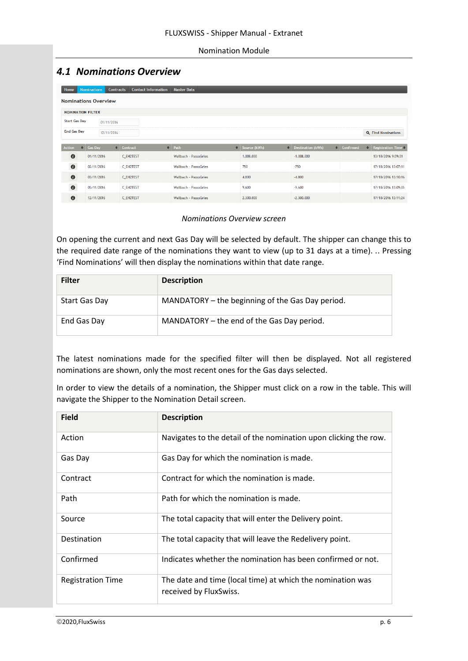### <span id="page-6-0"></span>*4.1 Nominations Overview*

| Home                           | <b>Nominations</b> | <b>Contracts</b> |                  | <b>Contact Information</b> | <b>Master Data</b>           |                     |                          |                  |                                       |
|--------------------------------|--------------------|------------------|------------------|----------------------------|------------------------------|---------------------|--------------------------|------------------|---------------------------------------|
| <b>Nominations Overview</b>    |                    |                  |                  |                            |                              |                     |                          |                  |                                       |
| <b>NOMINATION FILTER</b>       |                    |                  |                  |                            |                              |                     |                          |                  |                                       |
| <b>Start Gas Day</b>           |                    | 01/11/2016       |                  |                            |                              |                     |                          |                  |                                       |
| <b>End Gas Day</b>             |                    | 12/11/2016       |                  |                            |                              |                     |                          |                  | <b>Q</b> Find Nominations             |
| <b>Action</b><br>$\Rightarrow$ | <b>Gas Day</b>     |                  | $\div$ Contract  |                            | $\div$ Path                  | $\div$ Source (kWh) | $\div$ Destination (kWh) | $\div$ Confirmed | $\bullet$ Registration Time $\bullet$ |
| $\bullet$                      | 01/11/2016         |                  | <b>C_EH2TEST</b> |                            | Wallbach - PassoGries        | 1.008.000           | $-1.008,000$             |                  | 13/10/2016 9:59:31                    |
| $\bullet$                      | 02/11/2016         |                  | <b>C EH2TEST</b> |                            | Wallbach - PassoGries        | 750                 | $-750$                   |                  | 17/10/2016 13:07:11                   |
| $\bullet$                      | 03/11/2016         |                  | C EH2TEST        |                            | <b>Wallbach - PassoGries</b> | 4.800               | $-4.800$                 |                  | 17/10/2016 13:10:16                   |
| $\bullet$                      | 05/11/2016         |                  | C EH2TEST        |                            | <b>Wallbach - PassoGries</b> | 9.600               | $-9.600$                 |                  | 17/10/2016 13:09:05                   |
| $\bullet$                      | 12/11/2016         |                  | <b>C_EH2TEST</b> |                            | Wallbach - PassoGries        | 2.300.000           | $-2.300.000$             |                  | 17/10/2016 13:11:24                   |

#### *Nominations Overview screen*

On opening the current and next Gas Day will be selected by default. The shipper can change this to the required date range of the nominations they want to view (up to 31 days at a time). .. Pressing 'Find Nominations' will then display the nominations within that date range.

| <b>Filter</b> | <b>Description</b>                               |
|---------------|--------------------------------------------------|
| Start Gas Day | MANDATORY - the beginning of the Gas Day period. |
| End Gas Day   | MANDATORY - the end of the Gas Day period.       |

The latest nominations made for the specified filter will then be displayed. Not all registered nominations are shown, only the most recent ones for the Gas days selected.

In order to view the details of a nomination, the Shipper must click on a row in the table. This will navigate the Shipper to the Nomination Detail screen.

| <b>Field</b>             | <b>Description</b>                                                                   |
|--------------------------|--------------------------------------------------------------------------------------|
| Action                   | Navigates to the detail of the nomination upon clicking the row.                     |
| Gas Day                  | Gas Day for which the nomination is made.                                            |
| Contract                 | Contract for which the nomination is made.                                           |
| Path                     | Path for which the nomination is made.                                               |
| Source                   | The total capacity that will enter the Delivery point.                               |
| Destination              | The total capacity that will leave the Redelivery point.                             |
| Confirmed                | Indicates whether the nomination has been confirmed or not.                          |
| <b>Registration Time</b> | The date and time (local time) at which the nomination was<br>received by FluxSwiss. |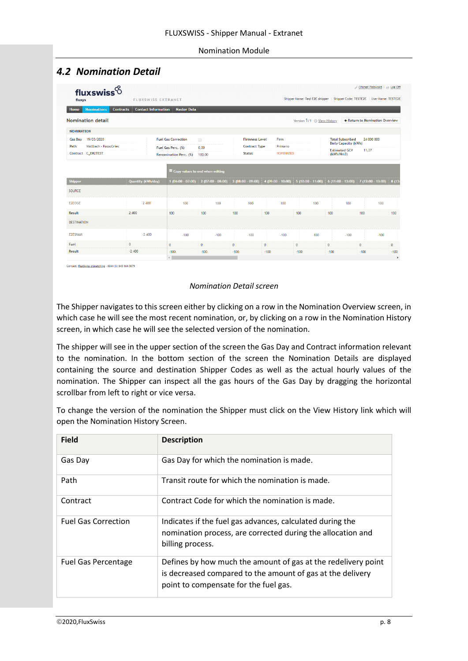# <span id="page-8-0"></span>*4.2 Nomination Detail*

| <b>Nominations</b>                                                               | <b>Contact Information</b><br><b>Contracts</b> |                                 |                       |                      |                    |                                                        |                      |                                 |              |
|----------------------------------------------------------------------------------|------------------------------------------------|---------------------------------|-----------------------|----------------------|--------------------|--------------------------------------------------------|----------------------|---------------------------------|--------------|
| Home                                                                             |                                                | <b>Master Data</b>              |                       |                      |                    |                                                        |                      |                                 |              |
| Nomination detail                                                                |                                                |                                 |                       |                      |                    | Version 1/1 © View History                             |                      | ← Return to Nomination Overview |              |
| <b>NOMINATION</b>                                                                |                                                |                                 |                       |                      |                    |                                                        |                      |                                 |              |
| 19/03/2020<br><b>Gas Day</b>                                                     | <b>Fuel Gas Correction</b>                     | $\qquad \qquad \Box$            | <b>Firmness Level</b> | Firm                 |                    | <b>Total Subscribed</b><br><b>Daily Capacity (kWh)</b> | 24 000 000           |                                 |              |
| Wallbach - PassoGries<br>Path                                                    |                                                | Fuel Gas Perc. (%)              | 0,00                  | <b>Contract Type</b> | Primario           |                                                        | <b>Estimated GCV</b> | 11,37                           |              |
| Contract C_EH2TEST                                                               |                                                | Renomination Perc. (%)          | 100,00                | <b>Status</b>        | <b>NOMINATED</b>   |                                                        | (kWh/Nm3)            |                                 |              |
|                                                                                  |                                                | Copy values to end when editing |                       |                      |                    |                                                        |                      |                                 |              |
|                                                                                  |                                                |                                 |                       |                      |                    |                                                        |                      |                                 |              |
|                                                                                  | Quantity (kWh/day)                             | $1(06:00 - 07:00)$              | $2(07:00 - 08:00)$    | $3(08:00 - 09:00)$   | $4(09:00 - 10:00)$ | $5(10:00 - 11:00)$                                     | $6(11:00 - 12:00)$   | $7(12:00 - 13:00)$              |              |
|                                                                                  |                                                |                                 |                       |                      |                    |                                                        |                      |                                 |              |
|                                                                                  | 2 400                                          | 100                             | 100                   | 100                  | 100                | 100                                                    | 100                  | 100                             | 8(13)        |
|                                                                                  | 2 400                                          | 100                             | 100                   | 100                  | 100                | 100                                                    | 100                  | 100                             | 100          |
| <b>Shipper</b><br><b>SOURCE</b><br><b>E2FOGE</b><br>Result<br><b>DESTINATION</b> |                                                |                                 |                       |                      |                    |                                                        |                      |                                 |              |
|                                                                                  | $-2,400$                                       | $-100$                          | $-100$                | $-100$               | $-100$             | $-100$                                                 | $-100$               | $-100$                          |              |
| <b>E2ESNAM</b><br>Fuel                                                           | $\mathbf{0}$                                   | $\mathbf{0}$                    | $\mathbf{0}$          | $\mathbf{0}$         | $\bf{0}$           | $\mathbf{0}$                                           | $\mathbf{0}$         | $\mathbf{0}$                    | $\mathbf{0}$ |

iss dispatching - 0044 (0) 845 164 5079

#### *Nomination Detail screen*

The Shipper navigates to this screen either by clicking on a row in the Nomination Overview screen, in which case he will see the most recent nomination, or, by clicking on a row in the Nomination History screen, in which case he will see the selected version of the nomination.

The shipper will see in the upper section of the screen the Gas Day and Contract information relevant to the nomination. In the bottom section of the screen the Nomination Details are displayed containing the source and destination Shipper Codes as well as the actual hourly values of the nomination. The Shipper can inspect all the gas hours of the Gas Day by dragging the horizontal scrollbar from left to right or vice versa.

To change the version of the nomination the Shipper must click on the View History link which will open the Nomination History Screen.

| <b>Field</b>               | <b>Description</b>                                                                                                                                                   |
|----------------------------|----------------------------------------------------------------------------------------------------------------------------------------------------------------------|
| Gas Day                    | Gas Day for which the nomination is made.                                                                                                                            |
| Path                       | Transit route for which the nomination is made.                                                                                                                      |
| Contract                   | Contract Code for which the nomination is made.                                                                                                                      |
| <b>Fuel Gas Correction</b> | Indicates if the fuel gas advances, calculated during the<br>nomination process, are corrected during the allocation and<br>billing process.                         |
| <b>Fuel Gas Percentage</b> | Defines by how much the amount of gas at the redelivery point<br>is decreased compared to the amount of gas at the delivery<br>point to compensate for the fuel gas. |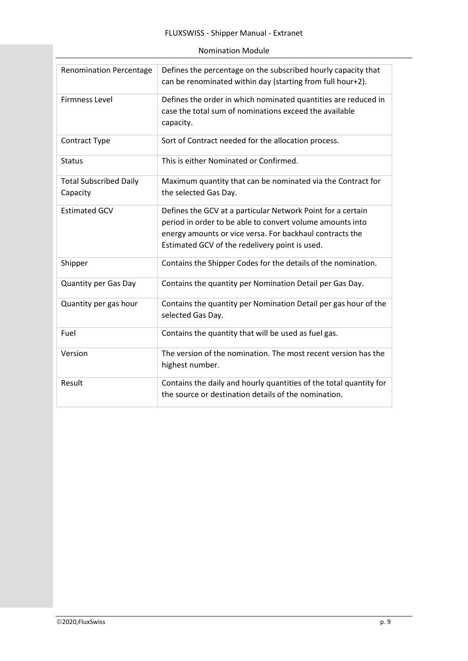| <b>Renomination Percentage</b>            | Defines the percentage on the subscribed hourly capacity that<br>can be renominated within day (starting from full hour+2).                                                                                                            |
|-------------------------------------------|----------------------------------------------------------------------------------------------------------------------------------------------------------------------------------------------------------------------------------------|
| <b>Firmness Level</b>                     | Defines the order in which nominated quantities are reduced in<br>case the total sum of nominations exceed the available<br>capacity.                                                                                                  |
| Contract Type                             | Sort of Contract needed for the allocation process.                                                                                                                                                                                    |
| <b>Status</b>                             | This is either Nominated or Confirmed.                                                                                                                                                                                                 |
| <b>Total Subscribed Daily</b><br>Capacity | Maximum quantity that can be nominated via the Contract for<br>the selected Gas Day.                                                                                                                                                   |
| <b>Estimated GCV</b>                      | Defines the GCV at a particular Network Point for a certain<br>period in order to be able to convert volume amounts into<br>energy amounts or vice versa. For backhaul contracts the<br>Estimated GCV of the redelivery point is used. |
| Shipper                                   | Contains the Shipper Codes for the details of the nomination.                                                                                                                                                                          |
| <b>Quantity per Gas Day</b>               | Contains the quantity per Nomination Detail per Gas Day.                                                                                                                                                                               |
| Quantity per gas hour                     | Contains the quantity per Nomination Detail per gas hour of the<br>selected Gas Day.                                                                                                                                                   |
| Fuel                                      | Contains the quantity that will be used as fuel gas.                                                                                                                                                                                   |
| Version                                   | The version of the nomination. The most recent version has the<br>highest number.                                                                                                                                                      |
| Result                                    | Contains the daily and hourly quantities of the total quantity for<br>the source or destination details of the nomination.                                                                                                             |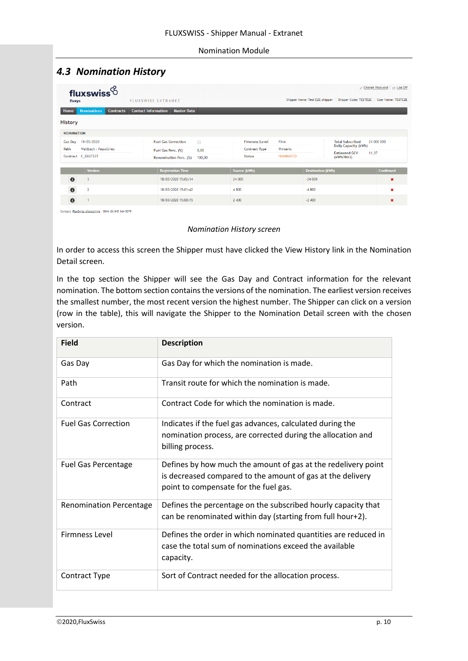# <span id="page-10-0"></span>*4.3 Nomination History*

| fluxys            | fluxswiss $6$                          | <b>FLUXSWISS EXTRANET</b>                        |                                   | Shipper Name: Test E2E shipper   Shipper Code: TESTE2E   User Name: TESTE2E | Change Password   et Log Off |
|-------------------|----------------------------------------|--------------------------------------------------|-----------------------------------|-----------------------------------------------------------------------------|------------------------------|
| Home              | <b>Contracts</b><br><b>Nominations</b> | <b>Contact Information</b><br><b>Master Data</b> |                                   |                                                                             |                              |
| <b>History</b>    |                                        |                                                  |                                   |                                                                             |                              |
| <b>NOMINATION</b> |                                        |                                                  |                                   |                                                                             |                              |
| <b>Gas Day</b>    | 19/03/2020                             | <b>Fuel Gas Correction</b><br>$\Box$             | Firm<br><b>Firmness Level</b>     | <b>Total Subscribed</b>                                                     | 24 000 000                   |
| Path              | Wallbach - PassoGries                  | 0,00<br>Fuel Gas Perc. (%)                       | Primario<br><b>Contract Type</b>  | <b>Daily Capacity (kWh)</b>                                                 |                              |
|                   | Contract C_EH2TEST                     | <b>Renomination Perc. (%)</b><br>100,00          | <b>Status</b><br><b>NOMINATED</b> | <b>Estimated GCV</b><br>(kWh/Nm3)                                           | 11,37                        |
|                   | <b>Version</b>                         | <b>Registration Time</b>                         | Source (kWh)                      | <b>Destination (kWh)</b>                                                    | <b>Confirmed</b>             |
| $\bullet$         | -3                                     | 18/03/2020 15:02:14                              | 24 000                            | $-24000$                                                                    | ×                            |
| $\bullet$         | $\overline{2}$                         | 18/03/2020 15:01:42                              | 4800                              | $-4800$                                                                     | ×                            |
| $\bullet$         |                                        | 18/03/2020 15:00:15                              | 2 400                             | $-2400$                                                                     | ×                            |

#### *Nomination History screen*

In order to access this screen the Shipper must have clicked the View History link in the Nomination Detail screen.

In the top section the Shipper will see the Gas Day and Contract information for the relevant nomination. The bottom section contains the versions of the nomination. The earliest version receives the smallest number, the most recent version the highest number. The Shipper can click on a version (row in the table), this will navigate the Shipper to the Nomination Detail screen with the chosen version.

| <b>Field</b>                   | <b>Description</b>                                                                                                                                                   |
|--------------------------------|----------------------------------------------------------------------------------------------------------------------------------------------------------------------|
| Gas Day                        | Gas Day for which the nomination is made.                                                                                                                            |
| Path                           | Transit route for which the nomination is made.                                                                                                                      |
| Contract                       | Contract Code for which the nomination is made.                                                                                                                      |
| <b>Fuel Gas Correction</b>     | Indicates if the fuel gas advances, calculated during the<br>nomination process, are corrected during the allocation and<br>billing process.                         |
| <b>Fuel Gas Percentage</b>     | Defines by how much the amount of gas at the redelivery point<br>is decreased compared to the amount of gas at the delivery<br>point to compensate for the fuel gas. |
| <b>Renomination Percentage</b> | Defines the percentage on the subscribed hourly capacity that<br>can be renominated within day (starting from full hour+2).                                          |
| <b>Firmness Level</b>          | Defines the order in which nominated quantities are reduced in<br>case the total sum of nominations exceed the available<br>capacity.                                |
| <b>Contract Type</b>           | Sort of Contract needed for the allocation process.                                                                                                                  |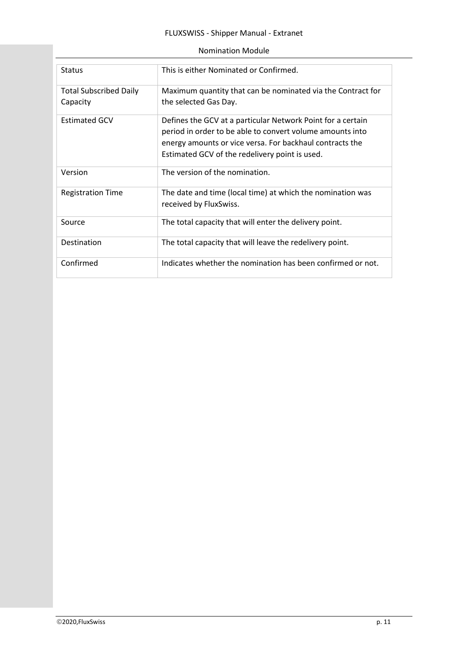| <b>Status</b>                 | This is either Nominated or Confirmed.                                               |
|-------------------------------|--------------------------------------------------------------------------------------|
| <b>Total Subscribed Daily</b> | Maximum quantity that can be nominated via the Contract for                          |
| Capacity                      | the selected Gas Day.                                                                |
| <b>Estimated GCV</b>          | Defines the GCV at a particular Network Point for a certain                          |
|                               | period in order to be able to convert volume amounts into                            |
|                               | energy amounts or vice versa. For backhaul contracts the                             |
|                               | Estimated GCV of the redelivery point is used.                                       |
| Version                       | The version of the nomination.                                                       |
| <b>Registration Time</b>      | The date and time (local time) at which the nomination was<br>received by FluxSwiss. |
| Source                        | The total capacity that will enter the delivery point.                               |
| Destination                   | The total capacity that will leave the redelivery point.                             |
| Confirmed                     | Indicates whether the nomination has been confirmed or not.                          |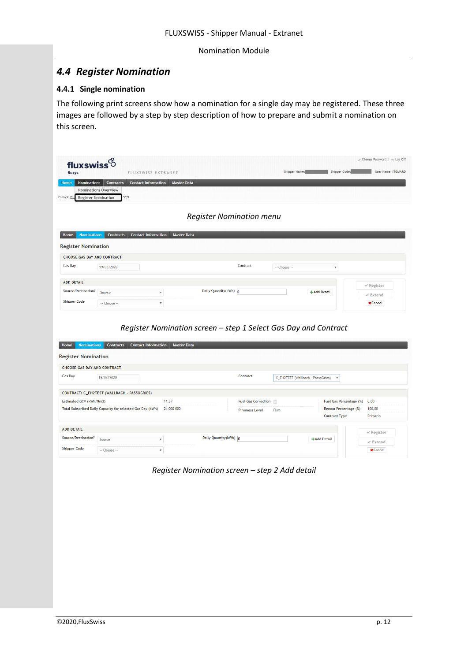### <span id="page-12-0"></span>*4.4 Register Nomination*

#### <span id="page-12-1"></span>**4.4.1 Single nomination**

The following print screens show how a nomination for a single day may be registered. These three images are followed by a step by step description of how to prepare and submit a nomination on this screen.

|                                                                                                 |                                                            |                                                                             | Register Nomination menu                                        |                       |              |                                                                |                                        |
|-------------------------------------------------------------------------------------------------|------------------------------------------------------------|-----------------------------------------------------------------------------|-----------------------------------------------------------------|-----------------------|--------------|----------------------------------------------------------------|----------------------------------------|
| Home<br><b>Nominations</b>                                                                      | <b>Contracts</b>                                           | <b>Contact Information</b><br><b>Master Data</b>                            |                                                                 |                       |              |                                                                |                                        |
| <b>Register Nomination</b>                                                                      |                                                            |                                                                             |                                                                 |                       |              |                                                                |                                        |
| CHOOSE GAS DAY AND CONTRACT                                                                     |                                                            |                                                                             |                                                                 |                       |              |                                                                |                                        |
| <b>Gas Day</b>                                                                                  | 19/03/2020                                                 |                                                                             |                                                                 | Contract              | -- Choose -- | $\boldsymbol{\mathrm{v}}$                                      |                                        |
|                                                                                                 |                                                            |                                                                             |                                                                 |                       |              |                                                                |                                        |
| <b>ADD DETAIL</b>                                                                               |                                                            |                                                                             |                                                                 |                       |              |                                                                | $\checkmark$ Register                  |
| Source/Destination?                                                                             | Source                                                     | $\overline{\mathbf v}$                                                      | Daily Quantity (kWh) 0                                          |                       |              | +Add Detail                                                    | $\checkmark$ Extend                    |
|                                                                                                 |                                                            |                                                                             |                                                                 |                       |              |                                                                |                                        |
| <b>Nominations</b>                                                                              | -- Choose --<br><b>Contracts</b>                           | $\overline{\mathbf{v}}$<br><b>Contact Information</b><br><b>Master Data</b> | Register Nomination screen - step 1 Select Gas Day and Contract |                       |              |                                                                | <b>x</b> Cancel                        |
| <b>Shipper Code</b><br>Home<br><b>Register Nomination</b><br><b>CHOOSE GAS DAY AND CONTRACT</b> |                                                            |                                                                             |                                                                 |                       |              |                                                                |                                        |
| <b>Gas Day</b>                                                                                  | 19/03/2020                                                 |                                                                             |                                                                 | Contract              |              | C_EH2TEST (Wallbach - PassoGries)<br>$\boldsymbol{\mathrm{v}}$ |                                        |
|                                                                                                 | CONTRACT: C_EH2TEST (WALLBACH - PASSOGRIES)                |                                                                             |                                                                 |                       |              |                                                                |                                        |
| Estimated GCV (kWh/Nm3)                                                                         |                                                            | 11,37                                                                       |                                                                 | Fuel Gas Correction   |              | Fuel Gas Percentage (%)                                        | 0,00                                   |
|                                                                                                 | Total Subscribed Daily Capacity for selected Gas Day (kWh) | 24 000 000                                                                  |                                                                 | <b>Firmness Level</b> | Firm         | Renom Percentage (%)                                           | 100,00                                 |
|                                                                                                 |                                                            |                                                                             |                                                                 |                       |              | <b>Contract Type</b>                                           | Primario                               |
|                                                                                                 |                                                            |                                                                             |                                                                 |                       |              |                                                                |                                        |
| <b>ADD DETAIL</b><br>Source/Destination?                                                        | Source                                                     | $\boldsymbol{\mathrm{v}}$                                                   | Daily Quantity (kWh) 0                                          |                       |              | +Add Detail                                                    | $\vee$ Register<br>$\checkmark$ Extend |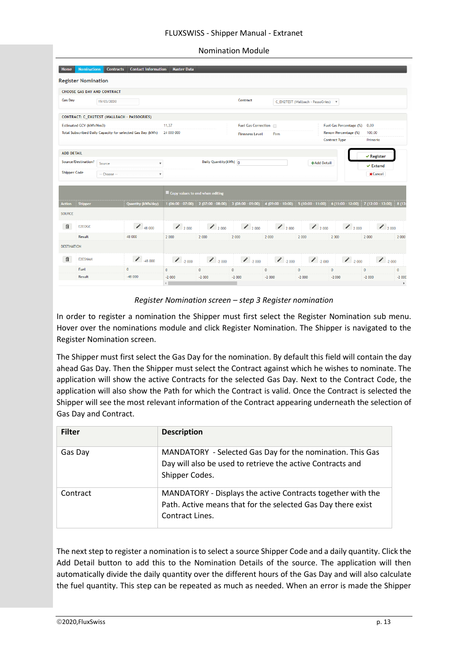#### FLUXSWISS - Shipper Manual - Extranet

| <b>Nomination Module</b> |  |
|--------------------------|--|
|--------------------------|--|

|                     | <b>Register Nomination</b> |                                    |                                                            |                                 |                        |                       |                                     |                                   |                           |                       |          |
|---------------------|----------------------------|------------------------------------|------------------------------------------------------------|---------------------------------|------------------------|-----------------------|-------------------------------------|-----------------------------------|---------------------------|-----------------------|----------|
|                     |                            | <b>CHOOSE GAS DAY AND CONTRACT</b> |                                                            |                                 |                        |                       |                                     |                                   |                           |                       |          |
| <b>Gas Day</b>      |                            | 19/03/2020                         |                                                            |                                 |                        | Contract              |                                     | C EH2TEST (Wallbach - PassoGries) | $\boldsymbol{\mathrm{v}}$ |                       |          |
|                     |                            |                                    | CONTRACT: C_EH2TEST (WALLBACH - PASSOGRIES)                |                                 |                        |                       |                                     |                                   |                           |                       |          |
|                     | Estimated GCV (kWh/Nm3)    |                                    |                                                            | 11,37                           |                        | Fuel Gas Correction   |                                     |                                   | Fuel Gas Percentage (%)   | 0,00                  |          |
|                     |                            |                                    | Total Subscribed Daily Capacity for selected Gas Day (kWh) | 24 000 000                      |                        | <b>Firmness Level</b> | Firm                                |                                   | Renom Percentage (%)      | 100,00                |          |
|                     |                            |                                    |                                                            |                                 |                        |                       |                                     |                                   | <b>Contract Type</b>      | Primario              |          |
| <b>ADD DETAIL</b>   |                            |                                    |                                                            |                                 |                        |                       |                                     |                                   |                           | $\checkmark$ Register |          |
|                     | Source/Destination?        | Source                             | $\overline{\mathbf{v}}$                                    |                                 | Daily Quantity (kWh) 0 |                       |                                     |                                   | +Add Detail               | $\times$ Extend       |          |
|                     |                            |                                    |                                                            |                                 |                        |                       |                                     |                                   |                           |                       |          |
| <b>Shipper Code</b> |                            | -- Choose --                       | ۳.                                                         |                                 |                        |                       |                                     |                                   |                           | <b>x</b> Cancel       |          |
|                     |                            |                                    |                                                            |                                 |                        |                       |                                     |                                   |                           |                       |          |
|                     |                            |                                    |                                                            | Copy values to end when editing |                        |                       |                                     |                                   |                           |                       |          |
| <b>Action</b>       | Shipper                    |                                    | Quantity (kWh/day)                                         | $1(06:00 - 07:00)$              | $2(07:00 - 08:00)$     | $3(08:00 - 09:00)$    | 4 (09:00 - 10:00) 5 (10:00 - 11:00) |                                   | $6(11:00 - 12:00)$        | $7(12:00 - 13:00)$    |          |
| <b>SOURCE</b>       |                            |                                    |                                                            |                                 |                        |                       |                                     |                                   |                           |                       |          |
| 自                   | E2EOGE                     |                                    | $\bigvee$ 48 000                                           | 2000                            |                        | 2000                  | 2000                                |                                   | 2000                      | 2000                  | 8(13)    |
|                     | Result                     |                                    | 48 000                                                     | 2 000                           | 2000<br>2 000          | 2 000                 | 2 000                               | 2000<br>2 000                     | 2 000                     | 2 000                 |          |
| <b>DESTINATION</b>  |                            |                                    |                                                            |                                 |                        |                       |                                     |                                   |                           |                       |          |
| 血                   | <b>E2ESNAM</b>             |                                    | $\bigg)$ -48 000                                           | $\bigcup_{2000}$                | $\bigcup_{2000}$       | $\bigcup_{2000}$      | $\bigcup_{2000}$                    | $\bigcup$ -2 000                  | $\bigcup$ -2 000          | $\bigcup_{2000}$      | 2 000    |
|                     | Fuel                       |                                    | $\mathbf{0}$                                               | $\mathbf{0}$                    | $\mathbf{0}$           | $\mathbf{0}$          | $\mathbf{0}$                        | $\mathbf{0}$                      | $\bf 0$                   | $\mathbf{0}$          | $\bf{0}$ |

*Register Nomination screen – step 3 Register nomination*

In order to register a nomination the Shipper must first select the Register Nomination sub menu. Hover over the nominations module and click Register Nomination. The Shipper is navigated to the Register Nomination screen.

The Shipper must first select the Gas Day for the nomination. By default this field will contain the day ahead Gas Day. Then the Shipper must select the Contract against which he wishes to nominate. The application will show the active Contracts for the selected Gas Day. Next to the Contract Code, the application will also show the Path for which the Contract is valid. Once the Contract is selected the Shipper will see the most relevant information of the Contract appearing underneath the selection of Gas Day and Contract.

| <b>Filter</b> | <b>Description</b>                                                                                                                             |
|---------------|------------------------------------------------------------------------------------------------------------------------------------------------|
| Gas Day       | MANDATORY - Selected Gas Day for the nomination. This Gas<br>Day will also be used to retrieve the active Contracts and<br>Shipper Codes.      |
| Contract      | MANDATORY - Displays the active Contracts together with the<br>Path. Active means that for the selected Gas Day there exist<br>Contract Lines. |

The next step to register a nomination is to select a source Shipper Code and a daily quantity. Click the Add Detail button to add this to the Nomination Details of the source. The application will then automatically divide the daily quantity over the different hours of the Gas Day and will also calculate the fuel quantity. This step can be repeated as much as needed. When an error is made the Shipper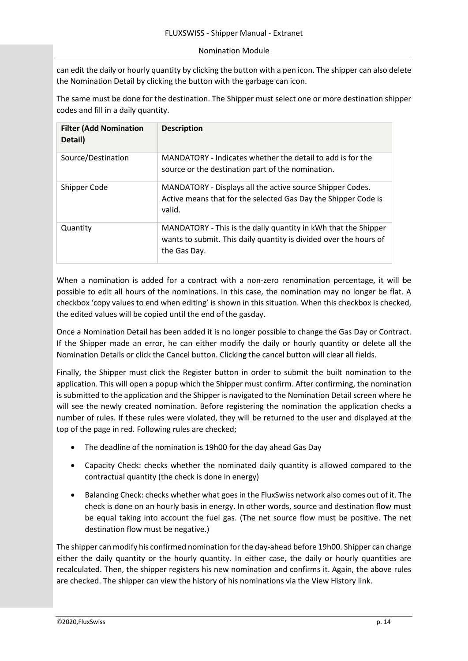can edit the daily or hourly quantity by clicking the button with a pen icon. The shipper can also delete the Nomination Detail by clicking the button with the garbage can icon.

The same must be done for the destination. The Shipper must select one or more destination shipper codes and fill in a daily quantity.

| <b>Filter (Add Nomination</b><br>Detail) | <b>Description</b>                                                                                                                                  |
|------------------------------------------|-----------------------------------------------------------------------------------------------------------------------------------------------------|
| Source/Destination                       | MANDATORY - Indicates whether the detail to add is for the<br>source or the destination part of the nomination.                                     |
| Shipper Code                             | MANDATORY - Displays all the active source Shipper Codes.<br>Active means that for the selected Gas Day the Shipper Code is<br>valid.               |
| Quantity                                 | MANDATORY - This is the daily quantity in kWh that the Shipper<br>wants to submit. This daily quantity is divided over the hours of<br>the Gas Day. |

When a nomination is added for a contract with a non-zero renomination percentage, it will be possible to edit all hours of the nominations. In this case, the nomination may no longer be flat. A checkbox 'copy values to end when editing' is shown in this situation. When this checkbox is checked, the edited values will be copied until the end of the gasday.

Once a Nomination Detail has been added it is no longer possible to change the Gas Day or Contract. If the Shipper made an error, he can either modify the daily or hourly quantity or delete all the Nomination Details or click the Cancel button. Clicking the cancel button will clear all fields.

Finally, the Shipper must click the Register button in order to submit the built nomination to the application. This will open a popup which the Shipper must confirm. After confirming, the nomination is submitted to the application and the Shipper is navigated to the Nomination Detail screen where he will see the newly created nomination. Before registering the nomination the application checks a number of rules. If these rules were violated, they will be returned to the user and displayed at the top of the page in red. Following rules are checked;

- The deadline of the nomination is 19h00 for the day ahead Gas Day
- Capacity Check: checks whether the nominated daily quantity is allowed compared to the contractual quantity (the check is done in energy)
- Balancing Check: checks whether what goes in the FluxSwiss network also comes out of it. The check is done on an hourly basis in energy. In other words, source and destination flow must be equal taking into account the fuel gas. (The net source flow must be positive. The net destination flow must be negative.)

The shipper can modify his confirmed nomination for the day-ahead before 19h00. Shipper can change either the daily quantity or the hourly quantity. In either case, the daily or hourly quantities are recalculated. Then, the shipper registers his new nomination and confirms it. Again, the above rules are checked. The shipper can view the history of his nominations via the View History link.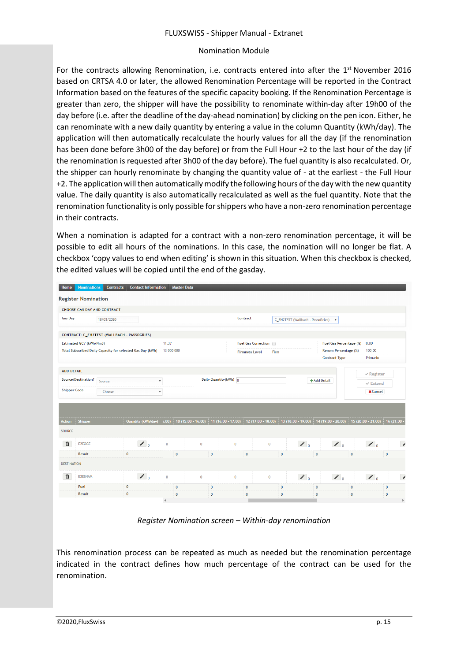For the contracts allowing Renomination, i.e. contracts entered into after the  $1<sup>st</sup>$  November 2016 based on CRTSA 4.0 or later, the allowed Renomination Percentage will be reported in the Contract Information based on the features of the specific capacity booking. If the Renomination Percentage is greater than zero, the shipper will have the possibility to renominate within-day after 19h00 of the day before (i.e. after the deadline of the day-ahead nomination) by clicking on the pen icon. Either, he can renominate with a new daily quantity by entering a value in the column Quantity (kWh/day). The application will then automatically recalculate the hourly values for all the day (if the renomination has been done before 3h00 of the day before) or from the Full Hour +2 to the last hour of the day (if the renomination is requested after 3h00 of the day before). The fuel quantity is also recalculated. Or, the shipper can hourly renominate by changing the quantity value of - at the earliest - the Full Hour +2. The application will then automatically modify the following hours of the day with the new quantity value. The daily quantity is also automatically recalculated as well as the fuel quantity. Note that the renomination functionality is only possible for shippers who have a non-zero renomination percentage in their contracts.

When a nomination is adapted for a contract with a non-zero renomination percentage, it will be possible to edit all hours of the nominations. In this case, the nomination will no longer be flat. A checkbox 'copy values to end when editing' is shown in this situation. When this checkbox is checked, the edited values will be copied until the end of the gasday.

| <b>Home</b>         | <b>Nominations</b>         | <b>Contracts</b>                            | <b>Contact Information</b>                                 |                          | <b>Master Data</b>  |              |                        |                       |                     |                                   |                           |              |                     |                          |
|---------------------|----------------------------|---------------------------------------------|------------------------------------------------------------|--------------------------|---------------------|--------------|------------------------|-----------------------|---------------------|-----------------------------------|---------------------------|--------------|---------------------|--------------------------|
|                     | <b>Register Nomination</b> |                                             |                                                            |                          |                     |              |                        |                       |                     |                                   |                           |              |                     |                          |
|                     |                            | <b>CHOOSE GAS DAY AND CONTRACT</b>          |                                                            |                          |                     |              |                        |                       |                     |                                   |                           |              |                     |                          |
| <b>Gas Day</b>      |                            | 18/03/2020                                  |                                                            |                          |                     |              |                        | Contract              |                     | C_EH2TEST (Wallbach - PassoGries) | $\boldsymbol{\mathrm{v}}$ |              |                     |                          |
|                     |                            | CONTRACT: C_EH2TEST (WALLBACH - PASSOGRIES) |                                                            |                          |                     |              |                        |                       |                     |                                   |                           |              |                     |                          |
|                     | Estimated GCV (kWh/Nm3)    |                                             |                                                            | 11,37                    |                     |              |                        |                       | Fuel Gas Correction |                                   | Fuel Gas Percentage (%)   |              | 0,00                |                          |
|                     |                            |                                             | Total Subscribed Daily Capacity for selected Gas Day (kWh) | 13 000 000               |                     |              |                        | <b>Firmness Level</b> | Firm                |                                   | Renom Percentage (%)      |              | 100,00              |                          |
|                     |                            |                                             |                                                            |                          |                     |              |                        |                       |                     |                                   | <b>Contract Type</b>      |              | Primario            |                          |
| <b>ADD DETAIL</b>   |                            |                                             |                                                            |                          |                     |              |                        |                       |                     |                                   |                           |              | $\vee$ Register     |                          |
|                     | Source/Destination?        | Source                                      |                                                            | $\overline{\phantom{a}}$ |                     |              | Daily Quantity (kWh) 0 |                       |                     |                                   | +Add Detail               |              | $\checkmark$ Extend |                          |
| <b>Shipper Code</b> |                            | -- Choose --                                |                                                            | $\overline{\mathbf{v}}$  |                     |              |                        |                       |                     |                                   |                           |              | <b>x</b> Cancel     |                          |
|                     |                            |                                             |                                                            |                          |                     |              |                        |                       |                     |                                   |                           |              |                     |                          |
|                     |                            |                                             |                                                            |                          |                     |              |                        |                       |                     |                                   |                           |              |                     |                          |
| <b>Action</b>       | Shipper                    |                                             | Quantity (kWh/day)                                         | 5:00                     | $10(15:00 - 16:00)$ |              | $11(16:00 - 17:00)$    |                       | $12(17:00 - 18:00)$ | 13 (18:00 - 19:00)                | $14(19:00 - 20:00)$       |              | $15(20:00 - 21:00)$ | $16(21:00 -$             |
| SOURCE              |                            |                                             |                                                            |                          |                     |              |                        |                       |                     |                                   |                           |              |                     |                          |
| 血                   | E2EOGE                     |                                             | $\lambda$                                                  | $\mathbf{0}$             | $\mathbf{0}$        |              | $\overline{0}$         |                       | $\mathbf{0}$        | $\lambda$                         | $\lambda$                 |              | $\lambda$           | $\overline{\phantom{a}}$ |
|                     | Result                     |                                             | $\bf{0}$                                                   | $\mathbf{0}$             |                     | $\mathbf{0}$ |                        | $\mathbf{0}$          | $\mathbf{0}$        |                                   | $\mathbf{0}$              | $\mathbf{0}$ |                     | $\mathbf{0}$             |
|                     |                            |                                             |                                                            |                          |                     |              |                        |                       |                     |                                   |                           |              |                     |                          |
| <b>DESTINATION</b>  |                            |                                             |                                                            |                          |                     |              |                        |                       |                     |                                   |                           |              |                     |                          |
| 血                   | <b>E2ESNAM</b>             |                                             | $\lambda$                                                  | $\mathbf{0}$             | $\mathbf{0}$        |              | $\mathbf 0$            |                       | $\mathbf{0}$        | $\lambda$                         | $\lambda$                 |              | $\boldsymbol{z}$    | $\overline{\phantom{a}}$ |
|                     | Fuel                       |                                             | $\bf{0}$                                                   | $\mathbf{0}$             |                     | $\mathbf{0}$ |                        | $\mathbf{0}$          | $\mathbf{0}$        |                                   | $\mathbf{0}$              | $\mathbf{0}$ |                     | $\bf{0}$                 |
|                     | Result                     |                                             | $\bf{0}$                                                   | $\mathbf{0}$             |                     | $\mathbf{0}$ |                        | $\mathbf{0}$          | $\mathbf{0}$        |                                   | $\mathbf{0}$              | $\mathbf{0}$ |                     | $\bf 0$                  |

*Register Nomination screen – Within-day renomination*

This renomination process can be repeated as much as needed but the renomination percentage indicated in the contract defines how much percentage of the contract can be used for the renomination.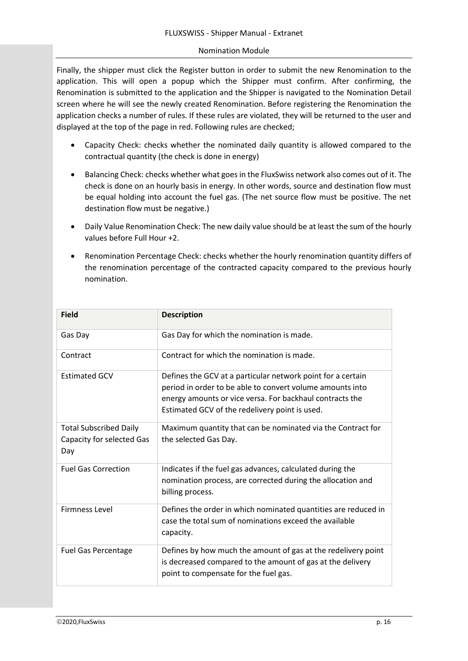Finally, the shipper must click the Register button in order to submit the new Renomination to the application. This will open a popup which the Shipper must confirm. After confirming, the Renomination is submitted to the application and the Shipper is navigated to the Nomination Detail screen where he will see the newly created Renomination. Before registering the Renomination the application checks a number of rules. If these rules are violated, they will be returned to the user and displayed at the top of the page in red. Following rules are checked;

- Capacity Check: checks whether the nominated daily quantity is allowed compared to the contractual quantity (the check is done in energy)
- Balancing Check: checks whether what goes in the FluxSwiss network also comes out of it. The check is done on an hourly basis in energy. In other words, source and destination flow must be equal holding into account the fuel gas. (The net source flow must be positive. The net destination flow must be negative.)
- Daily Value Renomination Check: The new daily value should be at least the sum of the hourly values before Full Hour +2.
- Renomination Percentage Check: checks whether the hourly renomination quantity differs of the renomination percentage of the contracted capacity compared to the previous hourly nomination.

| <b>Field</b>                                                      | <b>Description</b>                                                                                                                                                                                                                     |  |  |  |  |  |  |
|-------------------------------------------------------------------|----------------------------------------------------------------------------------------------------------------------------------------------------------------------------------------------------------------------------------------|--|--|--|--|--|--|
| Gas Day                                                           | Gas Day for which the nomination is made.                                                                                                                                                                                              |  |  |  |  |  |  |
| Contract                                                          | Contract for which the nomination is made.                                                                                                                                                                                             |  |  |  |  |  |  |
| <b>Estimated GCV</b>                                              | Defines the GCV at a particular network point for a certain<br>period in order to be able to convert volume amounts into<br>energy amounts or vice versa. For backhaul contracts the<br>Estimated GCV of the redelivery point is used. |  |  |  |  |  |  |
| <b>Total Subscribed Daily</b><br>Capacity for selected Gas<br>Day | Maximum quantity that can be nominated via the Contract for<br>the selected Gas Day.                                                                                                                                                   |  |  |  |  |  |  |
| <b>Fuel Gas Correction</b>                                        | Indicates if the fuel gas advances, calculated during the<br>nomination process, are corrected during the allocation and<br>billing process.                                                                                           |  |  |  |  |  |  |
| <b>Firmness Level</b>                                             | Defines the order in which nominated quantities are reduced in<br>case the total sum of nominations exceed the available<br>capacity.                                                                                                  |  |  |  |  |  |  |
| <b>Fuel Gas Percentage</b>                                        | Defines by how much the amount of gas at the redelivery point<br>is decreased compared to the amount of gas at the delivery<br>point to compensate for the fuel gas.                                                                   |  |  |  |  |  |  |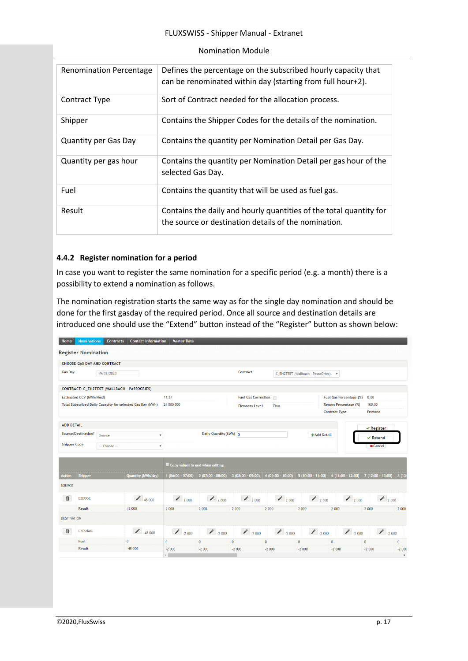| <b>Renomination Percentage</b> | Defines the percentage on the subscribed hourly capacity that<br>can be renominated within day (starting from full hour+2). |
|--------------------------------|-----------------------------------------------------------------------------------------------------------------------------|
| Contract Type                  | Sort of Contract needed for the allocation process.                                                                         |
| Shipper                        | Contains the Shipper Codes for the details of the nomination.                                                               |
| <b>Quantity per Gas Day</b>    | Contains the quantity per Nomination Detail per Gas Day.                                                                    |
| Quantity per gas hour          | Contains the quantity per Nomination Detail per gas hour of the<br>selected Gas Day.                                        |
| Fuel                           | Contains the quantity that will be used as fuel gas.                                                                        |
| Result                         | Contains the daily and hourly quantities of the total quantity for<br>the source or destination details of the nomination.  |

#### <span id="page-17-0"></span>**4.4.2 Register nomination for a period**

In case you want to register the same nomination for a specific period (e.g. a month) there is a possibility to extend a nomination as follows.

The nomination registration starts the same way as for the single day nomination and should be done for the first gasday of the required period. Once all source and destination details are introduced one should use the "Extend" button instead of the "Register" button as shown below:

| Home                | <b>Nominations</b>         | <b>Contracts</b>            | <b>Contact Information</b>                                 | <b>Master Data</b>              |                        |                       |                  |                                   |                                                       |                     |                        |
|---------------------|----------------------------|-----------------------------|------------------------------------------------------------|---------------------------------|------------------------|-----------------------|------------------|-----------------------------------|-------------------------------------------------------|---------------------|------------------------|
|                     | <b>Register Nomination</b> |                             |                                                            |                                 |                        |                       |                  |                                   |                                                       |                     |                        |
|                     |                            | CHOOSE GAS DAY AND CONTRACT |                                                            |                                 |                        |                       |                  |                                   |                                                       |                     |                        |
| <b>Gas Dav</b>      |                            | 19/03/2020                  |                                                            |                                 |                        | Contract              |                  | C EH2TEST (Wallbach - PassoGries) | $\boldsymbol{\mathrm{v}}$                             |                     |                        |
|                     |                            |                             | CONTRACT: C_EH2TEST (WALLBACH - PASSOGRIES)                |                                 |                        |                       |                  |                                   |                                                       |                     |                        |
|                     | Estimated GCV (kWh/Nm3)    |                             |                                                            | 11,37                           |                        | Fuel Gas Correction   |                  |                                   | Fuel Gas Percentage (%)                               | 0,00                |                        |
|                     |                            |                             | Total Subscribed Daily Capacity for selected Gas Day (kWh) | 24 000 000                      |                        | <b>Firmness Level</b> | Firm             |                                   | Renom Percentage (%)                                  | 100,00              |                        |
|                     |                            |                             |                                                            |                                 |                        |                       |                  |                                   | <b>Contract Type</b>                                  | Primario            |                        |
| <b>ADD DETAIL</b>   |                            |                             |                                                            |                                 |                        |                       |                  |                                   |                                                       | $\vee$ Register     |                        |
|                     | Source/Destination?        | Source                      | $\boldsymbol{\mathrm{v}}$                                  |                                 | Daily Quantity (kWh) 0 |                       |                  | +Add Detail                       |                                                       | $\checkmark$ Extend |                        |
| <b>Shipper Code</b> |                            | -- Choose --                | $\boldsymbol{\mathrm{v}}$                                  |                                 |                        |                       |                  |                                   |                                                       | <b>X</b> Cancel     |                        |
|                     |                            |                             |                                                            |                                 |                        |                       |                  |                                   |                                                       |                     |                        |
|                     |                            |                             |                                                            | Copy values to end when editing |                        |                       |                  |                                   |                                                       |                     |                        |
| <b>Action</b>       | Shipper                    |                             | Quantity (kWh/day)                                         | $1(06:00 - 07:00)$              | $2(07:00 - 08:00)$     | $3(08:00 - 09:00)$    |                  |                                   | 4 (09:00 - 10:00) 5 (10:00 - 11:00) 6 (11:00 - 12:00) | $7(12:00 - 13:00)$  | 8(13)                  |
| <b>SOURCE</b>       |                            |                             |                                                            |                                 |                        |                       |                  |                                   |                                                       |                     |                        |
| 俞                   | E2EOGE                     |                             | 48000                                                      | 2000                            | 2000                   | 2000                  | 2000             | 2000                              | 2000                                                  |                     | 2000                   |
|                     | <b>Result</b>              |                             | 48 000                                                     | 2 000                           | 2 000                  | 2 000                 | 2 000            | 2 000                             | 2 000                                                 | 2 000               | 2 000                  |
| <b>DESTINATION</b>  |                            |                             |                                                            |                                 |                        |                       |                  |                                   |                                                       |                     |                        |
| 血                   | <b>E2ESNAM</b>             |                             | $\bigcup_{48,000}$                                         | $\bigcup_{2000}$                | $\bigcup_{2000}$       | $\bigcup_{2000}$      | $\bigcup_{2000}$ | $\bigg)$ -2 000                   | $\bigcup_{2000}$                                      |                     | $\big $ $\big $ -2 000 |
|                     | Fuel                       |                             | $\mathbf{0}$                                               | $\mathbf{0}$                    | $\mathbf{0}$           | $\mathbf{0}$          | $\mathbf{0}$     | $\mathbf{0}$                      | $\mathbf{0}$                                          | $\mathbf{0}$        | $\mathbf{0}$           |
|                     | Result                     |                             | $-48000$                                                   | $-2000$                         | $-2000$                | $-2000$               | $-2000$          | $-2000$                           | $-2000$                                               | $-2000$             | $-2000$                |
|                     |                            |                             |                                                            | $\leftarrow$                    |                        |                       |                  |                                   |                                                       |                     | $\blacktriangleright$  |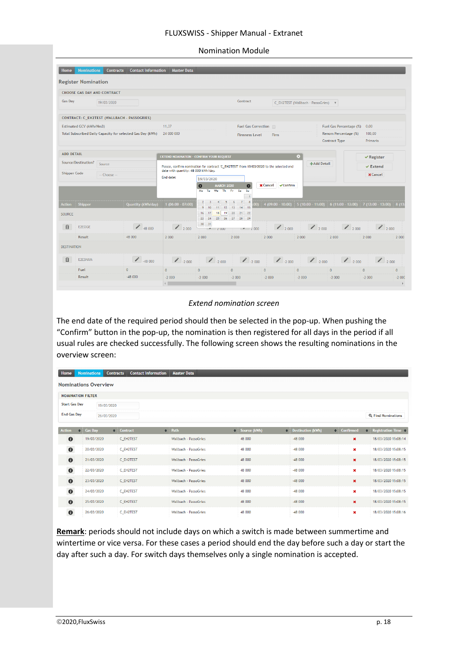#### FLUXSWISS - Shipper Manual - Extranet

| <b>Nomination Module</b> |  |
|--------------------------|--|
|--------------------------|--|

|                               | <b>Register Nomination</b>                                 |                    |                                                                                         |                                                   |                                          |                                         |                                     |                              |                              |
|-------------------------------|------------------------------------------------------------|--------------------|-----------------------------------------------------------------------------------------|---------------------------------------------------|------------------------------------------|-----------------------------------------|-------------------------------------|------------------------------|------------------------------|
|                               | CHOOSE GAS DAY AND CONTRACT                                |                    |                                                                                         |                                                   |                                          |                                         |                                     |                              |                              |
| <b>Gas Day</b>                | 19/03/2020                                                 |                    |                                                                                         |                                                   | Contract                                 |                                         | C EH2TEST (Wallbach - PassoGries) v |                              |                              |
|                               | CONTRACT: C_EH2TEST (WALLBACH - PASSOGRIES)                |                    |                                                                                         |                                                   |                                          |                                         |                                     |                              |                              |
|                               | Estimated GCV (kWh/Nm3)                                    |                    | 11.37                                                                                   |                                                   | Fuel Gas Correction                      |                                         |                                     | Fuel Gas Percentage (%) 0,00 |                              |
|                               | Total Subscribed Daily Capacity for selected Gas Day (kWh) |                    | 24 000 000                                                                              |                                                   | <b>Firmness Level</b>                    | Firm                                    |                                     | Renom Percentage (%)         | 100,00                       |
|                               |                                                            |                    |                                                                                         |                                                   |                                          |                                         |                                     | <b>Contract Type</b>         | Primario                     |
| <b>ADD DETAIL</b>             |                                                            |                    | <b>EXTEND NOMINATION - CONFIRM YOUR REOUEST</b>                                         |                                                   |                                          |                                         | $\circ$                             |                              | $\vee$ Register              |
|                               | Source/Destination?<br>Source                              |                    | Please, confirm nomination for contract 'C EH2TEST' from 19/03/2020 to the selected end |                                                   |                                          |                                         | +Add Detail                         |                              | $\vee$ Extend                |
| <b>Shipper Code</b>           | -- Choose --                                               |                    | date with quantity: 48 000 kWh/day.                                                     |                                                   |                                          |                                         |                                     |                              | <b>x</b> Cancel              |
|                               |                                                            |                    | End date:                                                                               | 19/03/2020                                        |                                          |                                         |                                     |                              |                              |
|                               |                                                            |                    |                                                                                         |                                                   |                                          |                                         |                                     |                              |                              |
|                               |                                                            |                    |                                                                                         | <b>MARCH 2020</b><br>O<br>We The Free<br>Mo<br>Tu | O<br>Sa<br>Su                            | <b>X</b> Cancel<br>$\checkmark$ Confirm |                                     |                              |                              |
| <b>Action</b>                 |                                                            |                    |                                                                                         | $\mathbf{2}$<br>$-5$<br>-31                       | $-1$<br>$\overline{7}$<br>8<br>6<br>00). | $4(09:00 - 10:00)$                      |                                     |                              | 8(13)                        |
|                               | <b>Shipper</b>                                             | Quantity (kWh/day) | $1(06:00 - 07:00)$                                                                      | $9 - 10$<br>$11$ $12$ $13$<br>16                  | 14<br>$-15$                              |                                         | $5(10:00 - 11:00)$                  | $6(11:00 - 12:00)$           | $7(12:00 - 13:00)$           |
|                               |                                                            |                    |                                                                                         | 18 19 20<br>17<br>23<br>24                        | 21 22<br>25 26 27 28 29                  |                                         |                                     |                              |                              |
| 俞                             | E2EOGE                                                     | 48000              | $2000$                                                                                  | $30 - 31$<br>Z000                                 | $-2000$                                  | 2000                                    | 2000                                | 2000                         | $\big $ 2000                 |
|                               | Result                                                     | 48 000             | 2 0 0 0                                                                                 | 2 000                                             | 2 000                                    | 2 0 0 0                                 | 2 000                               | 2 0 0 0                      | 2 000<br>2 000               |
|                               |                                                            |                    |                                                                                         |                                                   |                                          |                                         |                                     |                              |                              |
| 侕                             | E2ESNAM                                                    | $\bigcup_{48,000}$ | 2000                                                                                    |                                                   | $1.2000$ $1.2000$ $1.2000$ $1.2000$      |                                         |                                     | $\big  \big $ -2 000         | 2000                         |
| SOURCE.<br><b>DESTINATION</b> | Fuel                                                       | $\mathbf{0}$       | $\overline{0}$                                                                          | $\mathbf{0}$                                      | $\mathbf{0}$                             | $\mathbf{0}$                            | $\mathbf{0}$                        | $\mathbf{0}$                 | $\mathbf{0}$<br>$\mathbf{0}$ |

#### *Extend nomination screen*

The end date of the required period should then be selected in the pop-up. When pushing the "Confirm" button in the pop-up, the nomination is then registered for all days in the period if all usual rules are checked successfully. The following screen shows the resulting nominations in the overview screen:

| <b>Home</b>              |                             | <b>Nominations</b> |  | <b>Contracts</b> | <b>Contact Information</b> | <b>Master Data</b>    |  |                |  |                     |              |                  |                                 |
|--------------------------|-----------------------------|--------------------|--|------------------|----------------------------|-----------------------|--|----------------|--|---------------------|--------------|------------------|---------------------------------|
|                          | <b>Nominations Overview</b> |                    |  |                  |                            |                       |  |                |  |                     |              |                  |                                 |
| <b>NOMINATION FILTER</b> |                             |                    |  |                  |                            |                       |  |                |  |                     |              |                  |                                 |
| <b>Start Gas Day</b>     |                             | 19/03/2020         |  |                  |                            |                       |  |                |  |                     |              |                  |                                 |
| <b>End Gas Day</b>       |                             | 26/03/2020         |  |                  |                            |                       |  |                |  |                     |              |                  | <b>Q</b> Find Nominations       |
|                          |                             |                    |  |                  |                            |                       |  |                |  |                     |              |                  |                                 |
| <b>Action</b>            |                             | $\div$ Gas Day     |  | $\div$ Contract  | $\triangleq$               | Path                  |  | ≑ Source (kWh) |  | ♦ Destination (kWh) | $\triangleq$ | <b>Confirmed</b> | $\div$ Registration Time $\div$ |
| $\bullet$                |                             | 19/03/2020         |  | C_EH2TEST        |                            | Wallbach - PassoGries |  | 48 000         |  | $-48000$            |              | $\pmb{\times}$   | 18/03/2020 15:08:14             |
| $\bullet$                |                             | 20/03/2020         |  | C EH2TEST        |                            | Wallbach - PassoGries |  | 48 000         |  | $-48000$            |              | $\pmb{\times}$   | 18/03/2020 15:08:15             |
| $\bullet$                |                             | 21/03/2020         |  | C EH2TEST        |                            | Wallbach - PassoGries |  | 48 000         |  | $-48000$            |              | $\pmb{\times}$   | 18/03/2020 15:08:15             |
| $\bullet$                |                             | 22/03/2020         |  | C_EH2TEST        |                            | Wallbach - PassoGries |  | 48 000         |  | $-48000$            |              | ×                | 18/03/2020 15:08:15             |
| $\bullet$                |                             | 23/03/2020         |  | C EH2TEST        |                            | Wallbach - PassoGries |  | 48 000         |  | $-48000$            |              | $\pmb{\times}$   | 18/03/2020 15:08:15             |
| $\bullet$                |                             | 24/03/2020         |  | C_EH2TEST        |                            | Wallbach - PassoGries |  | 48 000         |  | $-48000$            |              | $\pmb{\times}$   | 18/03/2020 15:08:15             |
| $\bullet$                |                             | 25/03/2020         |  | C EH2TEST        |                            | Wallbach - PassoGries |  | 48 000         |  | $-48000$            |              | $\pmb{\times}$   | 18/03/2020 15:08:15             |
| $\bullet$                |                             | 26/03/2020         |  | C EH2TEST        |                            | Wallbach - PassoGries |  | 48 000         |  | $-48000$            |              | $\pmb{\times}$   | 18/03/2020 15:08:16             |

**Remark**: periods should not include days on which a switch is made between summertime and wintertime or vice versa. For these cases a period should end the day before such a day or start the day after such a day. For switch days themselves only a single nomination is accepted.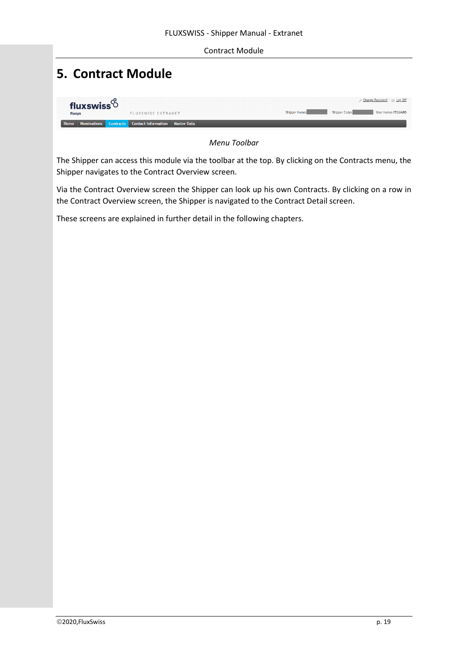#### Contract Module

# <span id="page-19-0"></span>**5. Contract Module**

| fluxswiss <sup>6</sup> |                                                       | Change Password Et Log Off                                   |
|------------------------|-------------------------------------------------------|--------------------------------------------------------------|
| fluxys                 | <b>FLUXSWISS EXTRANET</b>                             | Shipper Code:<br>Shipper Name:<br><b>Ilser Name: ITGUARD</b> |
| Home                   | Nominations Contracts Contact Information Master Data |                                                              |

*Menu Toolbar*

The Shipper can access this module via the toolbar at the top. By clicking on the Contracts menu, the Shipper navigates to the Contract Overview screen.

Via the Contract Overview screen the Shipper can look up his own Contracts. By clicking on a row in the Contract Overview screen, the Shipper is navigated to the Contract Detail screen.

These screens are explained in further detail in the following chapters.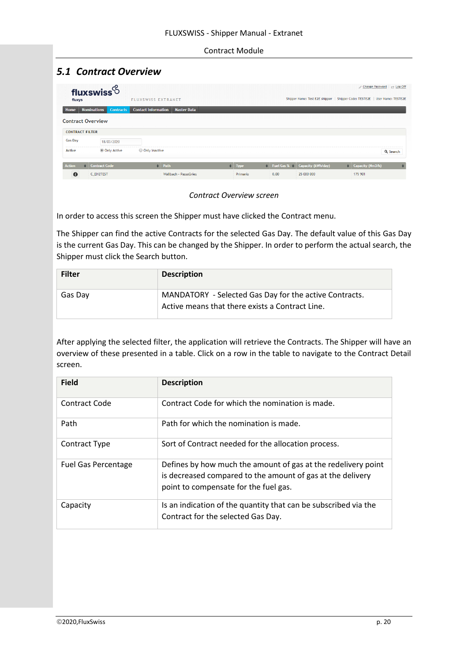#### Contract Module

# <span id="page-20-0"></span>*5.1 Contract Overview*

| fluxys                   | fluxswiss $6$<br><b>FLUXSWISS EXTRANET</b>                           |                       |             |      |                                                   | Change Password   Et Log Off<br>Shipper Name: Test E2E shipper   Shipper Code: TESTE2E   User Name: TESTE2E |
|--------------------------|----------------------------------------------------------------------|-----------------------|-------------|------|---------------------------------------------------|-------------------------------------------------------------------------------------------------------------|
| Home                     | <b>Nominations</b><br><b>Contact Information</b><br><b>Contracts</b> | <b>Master Data</b>    |             |      |                                                   |                                                                                                             |
| <b>Contract Overview</b> |                                                                      |                       |             |      |                                                   |                                                                                                             |
| <b>CONTRACT FILTER</b>   |                                                                      |                       |             |      |                                                   |                                                                                                             |
| <b>Gas Day</b>           | 18/03/2020                                                           |                       |             |      |                                                   |                                                                                                             |
| Active                   | <b>Only Active</b><br>O Only Inactive                                |                       |             |      |                                                   | Q Search                                                                                                    |
| <b>Action</b>            | Contract Code                                                        | $\Rightarrow$ Path    | $\div$ Type |      | $\bullet$ Fuel Gas % $\bullet$ Capacity (kWh/day) | $\div$ Capacity (Nm3/h)<br>$\Rightarrow$                                                                    |
| $\mathbf 0$              | C_EH2TEST                                                            | Wallbach - PassoGries | Primario    | 0,00 | 25 000 000                                        | 175 901                                                                                                     |

#### *Contract Overview screen*

In order to access this screen the Shipper must have clicked the Contract menu.

The Shipper can find the active Contracts for the selected Gas Day. The default value of this Gas Day is the current Gas Day. This can be changed by the Shipper. In order to perform the actual search, the Shipper must click the Search button.

| <b>Filter</b> | <b>Description</b>                                                                                        |
|---------------|-----------------------------------------------------------------------------------------------------------|
| Gas Day       | MANDATORY - Selected Gas Day for the active Contracts.<br>Active means that there exists a Contract Line. |

After applying the selected filter, the application will retrieve the Contracts. The Shipper will have an overview of these presented in a table. Click on a row in the table to navigate to the Contract Detail screen.

| <b>Field</b>               | <b>Description</b>                                                                                                                                                   |
|----------------------------|----------------------------------------------------------------------------------------------------------------------------------------------------------------------|
| Contract Code              | Contract Code for which the nomination is made.                                                                                                                      |
| Path                       | Path for which the nomination is made.                                                                                                                               |
| <b>Contract Type</b>       | Sort of Contract needed for the allocation process.                                                                                                                  |
| <b>Fuel Gas Percentage</b> | Defines by how much the amount of gas at the redelivery point<br>is decreased compared to the amount of gas at the delivery<br>point to compensate for the fuel gas. |
| Capacity                   | Is an indication of the quantity that can be subscribed via the<br>Contract for the selected Gas Day.                                                                |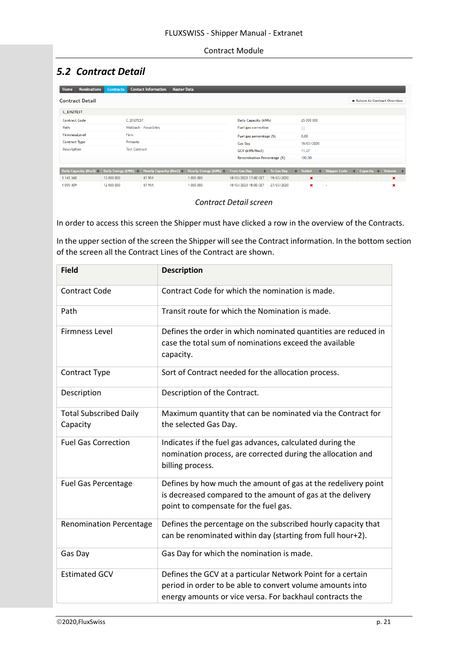#### Contract Module

# <span id="page-21-0"></span>*5.2 Contract Detail*

| <b>Nominations</b><br>Home  | <b>Contracts</b>          | <b>Contact Information</b>              | <b>Master Data</b>                             |                                    |                               |  |                |  |                     |               |                               |   |
|-----------------------------|---------------------------|-----------------------------------------|------------------------------------------------|------------------------------------|-------------------------------|--|----------------|--|---------------------|---------------|-------------------------------|---|
| <b>Contract Detail</b>      |                           |                                         |                                                |                                    |                               |  |                |  |                     |               | ← Return to Contract Overview |   |
| C EH2TEST                   |                           |                                         |                                                |                                    |                               |  |                |  |                     |               |                               |   |
| <b>Contract Code</b>        | C EH2TEST                 |                                         |                                                | Daily Capacity (kWh)               |                               |  | 25 000 000     |  |                     |               |                               |   |
| Path                        |                           | Wallbach - PassoGries                   |                                                |                                    | Fuel gas correction<br>$\Box$ |  |                |  |                     |               |                               |   |
| FirmnessLevel               | <b>Firm</b>               |                                         |                                                | Fuel gas percentage (%)            |                               |  | 0,00           |  |                     |               |                               |   |
| <b>Contract Type</b>        | Primario                  |                                         |                                                | 18/03/2020<br><b>Gas Dav</b>       |                               |  |                |  |                     |               |                               |   |
| <b>Description</b>          | <b>Test Contract</b>      |                                         |                                                | 11,37<br>GCV (kWh/Nm3)             |                               |  |                |  |                     |               |                               |   |
|                             |                           |                                         |                                                | <b>Renomination Percentage (%)</b> |                               |  | 100,00         |  |                     |               |                               |   |
| Daily Capacity (Nm3) $\div$ | Daily Energy (kWh) $\div$ | Hourly Capacity (Nm3) $\Leftrightarrow$ | Hourly Energy (kWh) $\Rightarrow$ From Gas Day |                                    | $\div$ To Gas Day             |  | $\div$ Sublet  |  | $\div$ Shipper Code | $\Rightarrow$ | Capacity $\div$ Volume $\div$ |   |
| 1 143 360                   | 13 000 000                | 87 951                                  | 1 000 000                                      | 18/03/2020 17:00 CET               | 19/03/2020                    |  | $\pmb{\times}$ |  | ÷                   |               |                               | × |
| 1 055 409                   | 12 000 000                | 87 951                                  | 1 000 000                                      | 18/03/2020 18:00 CET               | 27/03/2020                    |  | ×              |  |                     |               |                               | × |

*Contract Detail screen*

In order to access this screen the Shipper must have clicked a row in the overview of the Contracts.

In the upper section of the screen the Shipper will see the Contract information. In the bottom section of the screen all the Contract Lines of the Contract are shown.

| <b>Field</b>                              | <b>Description</b>                                                                                                                                                                   |
|-------------------------------------------|--------------------------------------------------------------------------------------------------------------------------------------------------------------------------------------|
| <b>Contract Code</b>                      | Contract Code for which the nomination is made.                                                                                                                                      |
| Path                                      | Transit route for which the Nomination is made.                                                                                                                                      |
| <b>Firmness Level</b>                     | Defines the order in which nominated quantities are reduced in<br>case the total sum of nominations exceed the available<br>capacity.                                                |
| <b>Contract Type</b>                      | Sort of Contract needed for the allocation process.                                                                                                                                  |
| Description                               | Description of the Contract.                                                                                                                                                         |
| <b>Total Subscribed Daily</b><br>Capacity | Maximum quantity that can be nominated via the Contract for<br>the selected Gas Day.                                                                                                 |
| <b>Fuel Gas Correction</b>                | Indicates if the fuel gas advances, calculated during the<br>nomination process, are corrected during the allocation and<br>billing process.                                         |
| <b>Fuel Gas Percentage</b>                | Defines by how much the amount of gas at the redelivery point<br>is decreased compared to the amount of gas at the delivery<br>point to compensate for the fuel gas.                 |
| <b>Renomination Percentage</b>            | Defines the percentage on the subscribed hourly capacity that<br>can be renominated within day (starting from full hour+2).                                                          |
| Gas Day                                   | Gas Day for which the nomination is made.                                                                                                                                            |
| <b>Estimated GCV</b>                      | Defines the GCV at a particular Network Point for a certain<br>period in order to be able to convert volume amounts into<br>energy amounts or vice versa. For backhaul contracts the |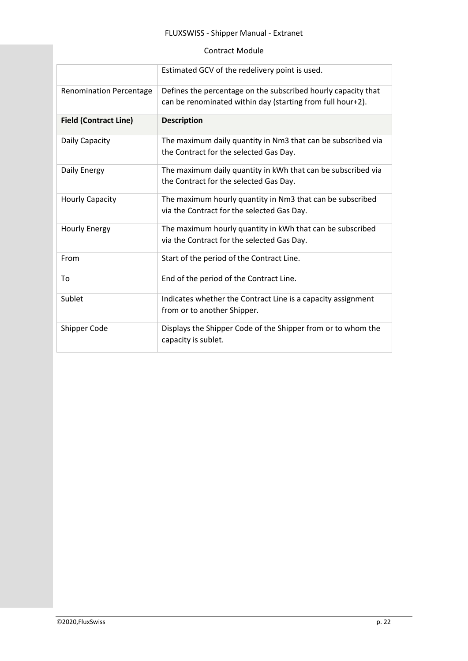### FLUXSWISS - Shipper Manual - Extranet

### Contract Module

|                                | Estimated GCV of the redelivery point is used.                                                                              |
|--------------------------------|-----------------------------------------------------------------------------------------------------------------------------|
| <b>Renomination Percentage</b> | Defines the percentage on the subscribed hourly capacity that<br>can be renominated within day (starting from full hour+2). |
| <b>Field (Contract Line)</b>   | <b>Description</b>                                                                                                          |
| Daily Capacity                 | The maximum daily quantity in Nm3 that can be subscribed via                                                                |
|                                | the Contract for the selected Gas Day.                                                                                      |
| Daily Energy                   | The maximum daily quantity in kWh that can be subscribed via                                                                |
|                                | the Contract for the selected Gas Day.                                                                                      |
| <b>Hourly Capacity</b>         | The maximum hourly quantity in Nm3 that can be subscribed                                                                   |
|                                | via the Contract for the selected Gas Day.                                                                                  |
| <b>Hourly Energy</b>           | The maximum hourly quantity in kWh that can be subscribed                                                                   |
|                                | via the Contract for the selected Gas Day.                                                                                  |
| From                           | Start of the period of the Contract Line.                                                                                   |
| To                             | End of the period of the Contract Line.                                                                                     |
| Sublet                         | Indicates whether the Contract Line is a capacity assignment                                                                |
|                                | from or to another Shipper.                                                                                                 |
| Shipper Code                   | Displays the Shipper Code of the Shipper from or to whom the<br>capacity is sublet.                                         |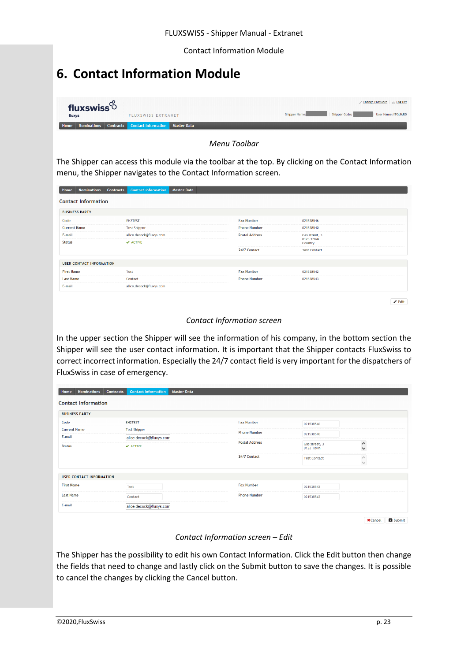Contact Information Module

# <span id="page-23-0"></span>**6. Contact Information Module**

|                                  |                                                       | Change Password   et Log Off                                |
|----------------------------------|-------------------------------------------------------|-------------------------------------------------------------|
| fluxswiss <sup>6</sup><br>fluxys | <b>FLUXSWISS EXTRANET</b>                             | Shipper Code:<br><b>Shipper Name:</b><br>User Name: ITGUARD |
| Home <sub>N</sub>                | Nominations Contracts Contact Information Master Data |                                                             |

*Menu Toolbar*

The Shipper can access this module via the toolbar at the top. By clicking on the Contact Information menu, the Shipper navigates to the Contact Information screen.

| <b>Nominations</b><br>Home      | <b>Contracts</b>             | <b>Contact Information</b><br><b>Master Data</b> |                       |                            |  |
|---------------------------------|------------------------------|--------------------------------------------------|-----------------------|----------------------------|--|
| <b>Contact Information</b>      |                              |                                                  |                       |                            |  |
| <b>BUSINESS PARTY</b>           |                              |                                                  |                       |                            |  |
| Code                            | <b>EH2TEST</b>               |                                                  | <b>Fax Number</b>     | 021538546                  |  |
| <b>Current Name</b>             | <b>Test Shipper</b>          |                                                  | <b>Phone Number</b>   | 021538540                  |  |
| E-mail                          | alice.decock@fluxys.com      |                                                  | <b>Postal Address</b> | Gas street, 3<br>0123 Town |  |
| <b>Status</b>                   | $\blacktriangleright$ ACTIVE |                                                  |                       | Country                    |  |
|                                 |                              |                                                  | 24/7 Contact          | <b>Test Contact</b>        |  |
| <b>USER CONTACT INFORMATION</b> |                              |                                                  |                       |                            |  |
| <b>First Name</b>               | Test                         |                                                  | <b>Fax Number</b>     | 021538542                  |  |
| <b>Last Name</b>                | Contact                      |                                                  | <b>Phone Number</b>   | 021538543                  |  |
|                                 | alice.decock@fluxys.com      |                                                  |                       |                            |  |
| E-mail                          |                              |                                                  |                       |                            |  |

 $\mathbb Z$ Edit

#### *Contact Information screen*

In the upper section the Shipper will see the information of his company, in the bottom section the Shipper will see the user contact information. It is important that the Shipper contacts FluxSwiss to correct incorrect information. Especially the 24/7 contact field is very important for the dispatchers of FluxSwiss in case of emergency.

| Home                    | <b>Nominations</b>              | <b>Contracts</b> | <b>Contact Information</b>                              | <b>Master Data</b> |  |                       |                            |                                         |
|-------------------------|---------------------------------|------------------|---------------------------------------------------------|--------------------|--|-----------------------|----------------------------|-----------------------------------------|
|                         | <b>Contact Information</b>      |                  |                                                         |                    |  |                       |                            |                                         |
| <b>BUSINESS PARTY</b>   |                                 |                  |                                                         |                    |  |                       |                            |                                         |
| Code                    |                                 |                  | <b>EH2TEST</b>                                          |                    |  | <b>Fax Number</b>     | 021538546                  |                                         |
| <b>Current Name</b>     |                                 |                  | <b>Test Shipper</b>                                     |                    |  | <b>Phone Number</b>   | 021538540                  |                                         |
| E-mail<br><b>Status</b> |                                 |                  | alice.decock@fluxys.com<br>$\blacktriangleright$ ACTIVE |                    |  | <b>Postal Address</b> | Gas street, 3<br>0123 Town | $\hat{\cdot}$                           |
|                         |                                 |                  |                                                         |                    |  | 24/7 Contact          | <b>Test Contact</b>        | $\widehat{\phantom{a}}$<br>$\checkmark$ |
|                         | <b>USER CONTACT INFORMATION</b> |                  |                                                         |                    |  |                       |                            |                                         |
| <b>First Name</b>       |                                 |                  | Test                                                    |                    |  | <b>Fax Number</b>     | 021538542                  |                                         |
| <b>Last Name</b>        |                                 |                  | Contact                                                 |                    |  | <b>Phone Number</b>   | 021538543                  |                                         |
| E-mail                  |                                 |                  | alice.decock@fluxys.com                                 |                    |  |                       |                            |                                         |
|                         |                                 |                  |                                                         |                    |  |                       |                            |                                         |

 $\begin{tabular}{|c|c|} \hline \textbf{X} & \textbf{C} \\\hline \textbf{X} & \textbf{C} \\\hline \textbf{X} & \textbf{C} \\\hline \textbf{X} & \textbf{A} \\\hline \textbf{X} & \textbf{A} \\\hline \textbf{X} & \textbf{A} \\\hline \textbf{X} & \textbf{A} \\\hline \textbf{X} & \textbf{A} \\\hline \textbf{X} & \textbf{A} \\\hline \textbf{X} & \textbf{A} \\\hline \textbf{X} & \textbf{A} \\\hline \textbf{X} & \textbf{A} \\\hline \$ 

#### *Contact Information screen – Edit*

The Shipper has the possibility to edit his own Contact Information. Click the Edit button then change the fields that need to change and lastly click on the Submit button to save the changes. It is possible to cancel the changes by clicking the Cancel button.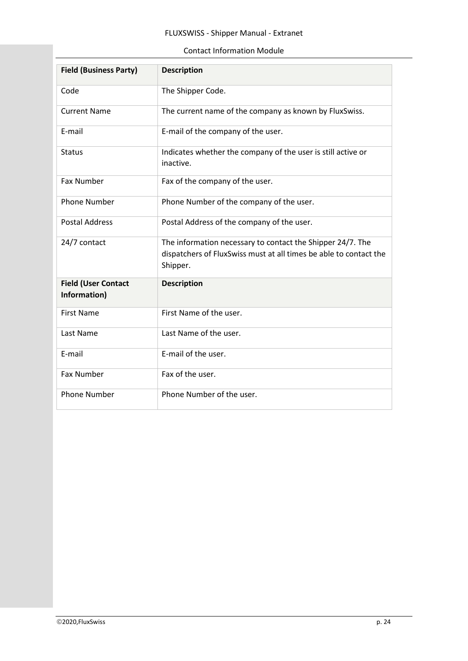### FLUXSWISS - Shipper Manual - Extranet

#### Contact Information Module

| <b>Field (Business Party)</b>              | <b>Description</b>                                                                                                                          |
|--------------------------------------------|---------------------------------------------------------------------------------------------------------------------------------------------|
| Code                                       | The Shipper Code.                                                                                                                           |
| <b>Current Name</b>                        | The current name of the company as known by FluxSwiss.                                                                                      |
| E-mail                                     | E-mail of the company of the user.                                                                                                          |
| <b>Status</b>                              | Indicates whether the company of the user is still active or<br>inactive.                                                                   |
| <b>Fax Number</b>                          | Fax of the company of the user.                                                                                                             |
| <b>Phone Number</b>                        | Phone Number of the company of the user.                                                                                                    |
| <b>Postal Address</b>                      | Postal Address of the company of the user.                                                                                                  |
| 24/7 contact                               | The information necessary to contact the Shipper 24/7. The<br>dispatchers of FluxSwiss must at all times be able to contact the<br>Shipper. |
| <b>Field (User Contact</b><br>Information) | <b>Description</b>                                                                                                                          |
| <b>First Name</b>                          | First Name of the user.                                                                                                                     |
| Last Name                                  | Last Name of the user.                                                                                                                      |
| E-mail                                     | E-mail of the user.                                                                                                                         |
| <b>Fax Number</b>                          | Fax of the user.                                                                                                                            |
| <b>Phone Number</b>                        | Phone Number of the user.                                                                                                                   |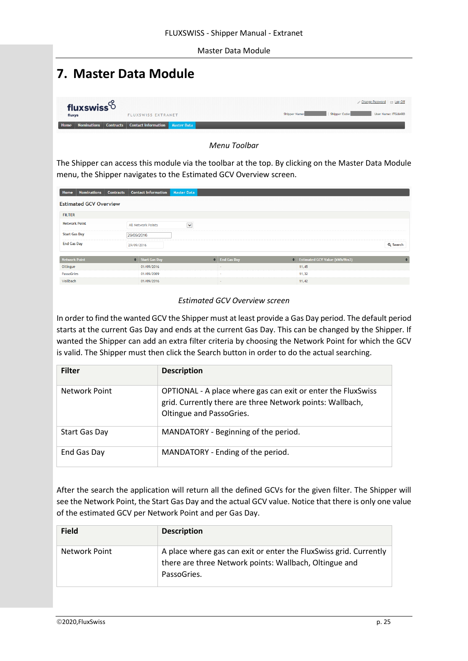#### Master Data Module

# <span id="page-25-0"></span>**7. Master Data Module**

| fluxswiss $6$ |                                                       | Change Password   <b>Et Log Off</b>                         |
|---------------|-------------------------------------------------------|-------------------------------------------------------------|
| fluxys        | <b>FLUXSWISS EXTRANET</b>                             | Shipper Code:<br>Shipper Name:<br><b>User Name: ITGUARD</b> |
| Home          | Nominations Contracts Contact Information Master Data |                                                             |

*Menu Toolbar*

The Shipper can access this module via the toolbar at the top. By clicking on the Master Data Module menu, the Shipper navigates to the Estimated GCV Overview screen.

| Home                 | <b>Nominations</b>            | <b>Contracts</b> |            | <b>Contact Information</b> | <b>Master Data</b> |                    |                               |          |
|----------------------|-------------------------------|------------------|------------|----------------------------|--------------------|--------------------|-------------------------------|----------|
|                      | <b>Estimated GCV Overview</b> |                  |            |                            |                    |                    |                               |          |
| <b>FILTER</b>        |                               |                  |            |                            |                    |                    |                               |          |
| <b>Network Point</b> |                               |                  |            | <b>All Network Points</b>  | $\checkmark$       |                    |                               |          |
| <b>Start Gas Day</b> |                               |                  | 29/09/2016 |                            |                    |                    |                               |          |
| <b>End Gas Day</b>   |                               |                  | 29/09/2016 |                            |                    |                    |                               | Q Search |
| <b>Network Point</b> |                               |                  |            | ♦ Start Gas Day            |                    | $\div$ End Gas Day | Estimated GCV Value (kWh/Nm3) | ٠        |
| Oltingue             |                               |                  |            | 01/09/2016                 |                    | $\sim$             | 11,45                         |          |
| PassoGries           |                               |                  |            | 01/09/2009                 |                    | ÷.                 | 11,32                         |          |
| Wallbach             |                               |                  |            | 01/09/2016                 |                    | $\sim$             | 11,42                         |          |

#### *Estimated GCV Overview screen*

In order to find the wanted GCV the Shipper must at least provide a Gas Day period. The default period starts at the current Gas Day and ends at the current Gas Day. This can be changed by the Shipper. If wanted the Shipper can add an extra filter criteria by choosing the Network Point for which the GCV is valid. The Shipper must then click the Search button in order to do the actual searching.

| <b>Filter</b> | <b>Description</b>                                                                                                                                    |
|---------------|-------------------------------------------------------------------------------------------------------------------------------------------------------|
| Network Point | OPTIONAL - A place where gas can exit or enter the FluxSwiss<br>grid. Currently there are three Network points: Wallbach,<br>Oltingue and PassoGries. |
| Start Gas Day | MANDATORY - Beginning of the period.                                                                                                                  |
| End Gas Day   | MANDATORY - Ending of the period.                                                                                                                     |

After the search the application will return all the defined GCVs for the given filter. The Shipper will see the Network Point, the Start Gas Day and the actual GCV value. Notice that there is only one value of the estimated GCV per Network Point and per Gas Day.

| <b>Field</b>  | <b>Description</b>                                                                                                                         |
|---------------|--------------------------------------------------------------------------------------------------------------------------------------------|
| Network Point | A place where gas can exit or enter the FluxSwiss grid. Currently<br>there are three Network points: Wallbach, Oltingue and<br>PassoGries. |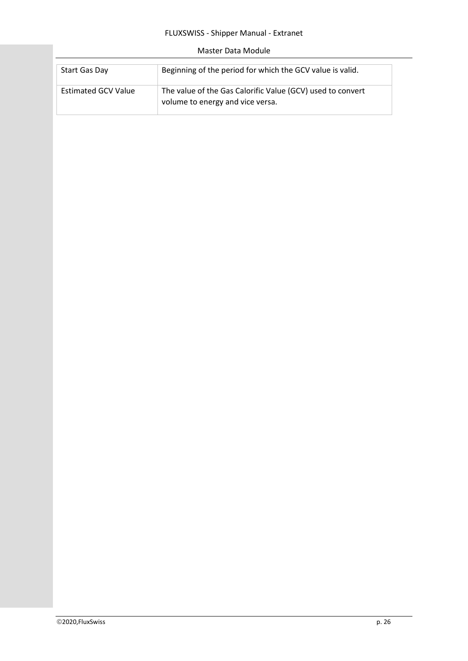### FLUXSWISS - Shipper Manual - Extranet

#### Master Data Module

| Start Gas Day              | Beginning of the period for which the GCV value is valid.                                      |
|----------------------------|------------------------------------------------------------------------------------------------|
| <b>Estimated GCV Value</b> | The value of the Gas Calorific Value (GCV) used to convert<br>volume to energy and vice versa. |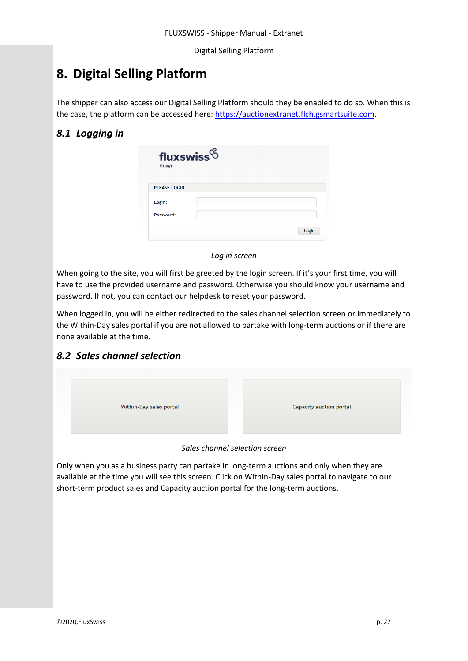# <span id="page-27-0"></span>**8. Digital Selling Platform**

The shipper can also access our Digital Selling Platform should they be enabled to do so. When this is the case, the platform can be accessed here[: https://auctionextranet.flch.gsmartsuite.com.](https://auctionextranet.flch.gsmartsuite.com/)

# *8.1 Logging in*

| fluxswiss $%$<br>fluxys |       |
|-------------------------|-------|
| <b>PLEASE LOGIN</b>     |       |
| Login:                  |       |
| Password:               |       |
|                         | Login |

*Log in screen*

When going to the site, you will first be greeted by the login screen. If it's your first time, you will have to use the provided username and password. Otherwise you should know your username and password. If not, you can contact our helpdesk to reset your password.

When logged in, you will be either redirected to the sales channel selection screen or immediately to the Within-Day sales portal if you are not allowed to partake with long-term auctions or if there are none available at the time.

# *8.2 Sales channel selection*



*Sales channel selection screen*

Only when you as a business party can partake in long-term auctions and only when they are available at the time you will see this screen. Click on Within-Day sales portal to navigate to our short-term product sales and Capacity auction portal for the long-term auctions.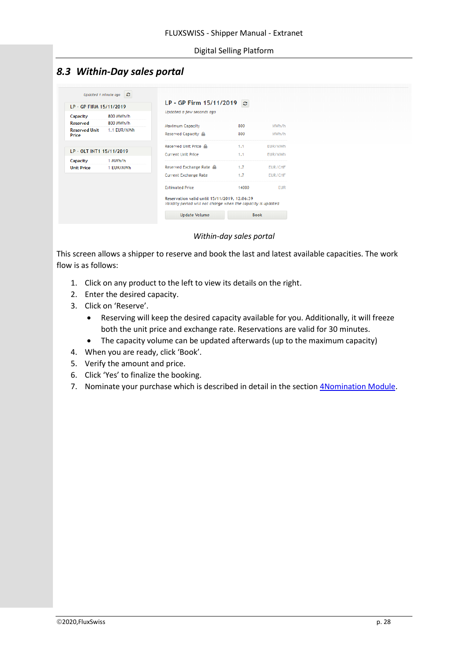# *8.3 Within-Day sales portal*

| LP - GP FIRM 15/11/2019       |             | $LP - GP$ Firm 15/11/2019 $\circ$                                                                            |             |                |
|-------------------------------|-------------|--------------------------------------------------------------------------------------------------------------|-------------|----------------|
| Capacity                      | 800 MWh/h   | Updated a few seconds ago                                                                                    |             |                |
| Reserved                      | 800 MWh/h   | <b>Maximum Capacity</b>                                                                                      | 800         | MWh/h          |
| <b>Reserved Unit</b><br>Price | 1.1 EUR/MWh | Reserved Capacity                                                                                            | 800         | MWh/h          |
|                               |             | Reserved Unit Price                                                                                          | 1.1         | <b>EUR/MWh</b> |
| LP - OLT INT1 15/11/2019      |             | <b>Current Unit Price</b>                                                                                    | 1.1         | EUR/MWh        |
| Capacity                      | 1 MWh/h     |                                                                                                              |             |                |
| <b>Unit Price</b>             | 1 EUR/MWh   | Reserved Exchange Rate $\triangle$                                                                           | 1.7         | EUR/CHF        |
|                               |             | <b>Current Exchange Rate</b>                                                                                 | 1.7         | <b>EUR/CHF</b> |
|                               |             | <b>Estimated Price</b>                                                                                       | 14080       | <b>EUR</b>     |
|                               |             | Reservation valid until 15/11/2019, 12:06:39<br>Validity period will not change when the capacity is updated |             |                |
|                               |             | <b>Update Volume</b>                                                                                         | <b>Book</b> |                |

*Within-day sales portal*

This screen allows a shipper to reserve and book the last and latest available capacities. The work flow is as follows:

- 1. Click on any product to the left to view its details on the right.
- 2. Enter the desired capacity.
- 3. Click on 'Reserve'.
	- Reserving will keep the desired capacity available for you. Additionally, it will freeze both the unit price and exchange rate. Reservations are valid for 30 minutes.
	- The capacity volume can be updated afterwards (up to the maximum capacity)
- 4. When you are ready, click 'Book'.
- 5. Verify the amount and price.
- 6. Click 'Yes' to finalize the booking.
- 7. Nominate your purchase which is described in detail in the section *4Nomination Module*.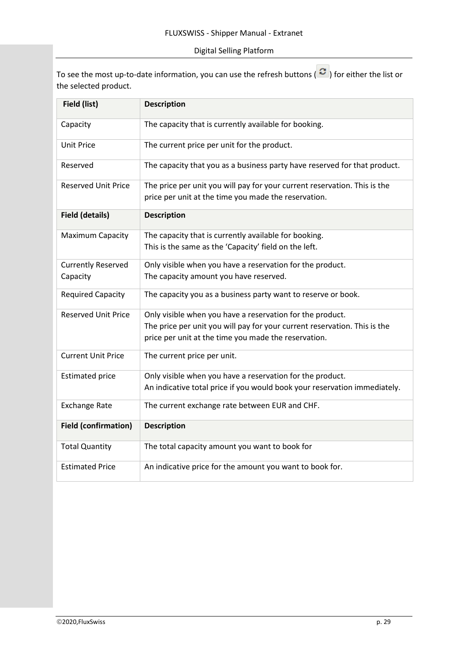### Digital Selling Platform

To see the most up-to-date information, you can use the refresh buttons ( $\sigma$ ) for either the list or the selected product.

| Field (list)                          | <b>Description</b>                                                                                                                                                                             |
|---------------------------------------|------------------------------------------------------------------------------------------------------------------------------------------------------------------------------------------------|
| Capacity                              | The capacity that is currently available for booking.                                                                                                                                          |
| <b>Unit Price</b>                     | The current price per unit for the product.                                                                                                                                                    |
| Reserved                              | The capacity that you as a business party have reserved for that product.                                                                                                                      |
| <b>Reserved Unit Price</b>            | The price per unit you will pay for your current reservation. This is the<br>price per unit at the time you made the reservation.                                                              |
| <b>Field (details)</b>                | <b>Description</b>                                                                                                                                                                             |
| <b>Maximum Capacity</b>               | The capacity that is currently available for booking.<br>This is the same as the 'Capacity' field on the left.                                                                                 |
| <b>Currently Reserved</b><br>Capacity | Only visible when you have a reservation for the product.<br>The capacity amount you have reserved.                                                                                            |
| <b>Required Capacity</b>              | The capacity you as a business party want to reserve or book.                                                                                                                                  |
| <b>Reserved Unit Price</b>            | Only visible when you have a reservation for the product.<br>The price per unit you will pay for your current reservation. This is the<br>price per unit at the time you made the reservation. |
| <b>Current Unit Price</b>             | The current price per unit.                                                                                                                                                                    |
| <b>Estimated price</b>                | Only visible when you have a reservation for the product.<br>An indicative total price if you would book your reservation immediately.                                                         |
| <b>Exchange Rate</b>                  | The current exchange rate between EUR and CHF.                                                                                                                                                 |
| <b>Field (confirmation)</b>           | <b>Description</b>                                                                                                                                                                             |
| <b>Total Quantity</b>                 | The total capacity amount you want to book for                                                                                                                                                 |
| <b>Estimated Price</b>                | An indicative price for the amount you want to book for.                                                                                                                                       |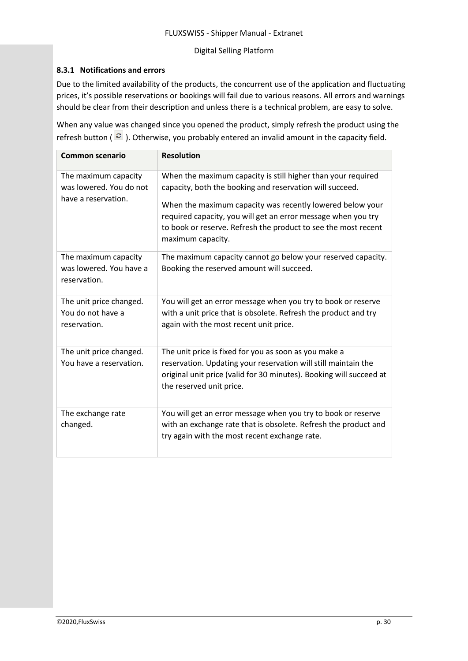#### Digital Selling Platform

#### **8.3.1 Notifications and errors**

Due to the limited availability of the products, the concurrent use of the application and fluctuating prices, it's possible reservations or bookings will fail due to various reasons. All errors and warnings should be clear from their description and unless there is a technical problem, are easy to solve.

When any value was changed since you opened the product, simply refresh the product using the refresh button ( $\in$ ). Otherwise, you probably entered an invalid amount in the capacity field.

| <b>Common scenario</b>                                                 | <b>Resolution</b>                                                                                                                                                                                                                                                                                                                             |
|------------------------------------------------------------------------|-----------------------------------------------------------------------------------------------------------------------------------------------------------------------------------------------------------------------------------------------------------------------------------------------------------------------------------------------|
| The maximum capacity<br>was lowered. You do not<br>have a reservation. | When the maximum capacity is still higher than your required<br>capacity, both the booking and reservation will succeed.<br>When the maximum capacity was recently lowered below your<br>required capacity, you will get an error message when you try<br>to book or reserve. Refresh the product to see the most recent<br>maximum capacity. |
| The maximum capacity<br>was lowered. You have a<br>reservation.        | The maximum capacity cannot go below your reserved capacity.<br>Booking the reserved amount will succeed.                                                                                                                                                                                                                                     |
| The unit price changed.<br>You do not have a<br>reservation.           | You will get an error message when you try to book or reserve<br>with a unit price that is obsolete. Refresh the product and try<br>again with the most recent unit price.                                                                                                                                                                    |
| The unit price changed.<br>You have a reservation.                     | The unit price is fixed for you as soon as you make a<br>reservation. Updating your reservation will still maintain the<br>original unit price (valid for 30 minutes). Booking will succeed at<br>the reserved unit price.                                                                                                                    |
| The exchange rate<br>changed.                                          | You will get an error message when you try to book or reserve<br>with an exchange rate that is obsolete. Refresh the product and<br>try again with the most recent exchange rate.                                                                                                                                                             |